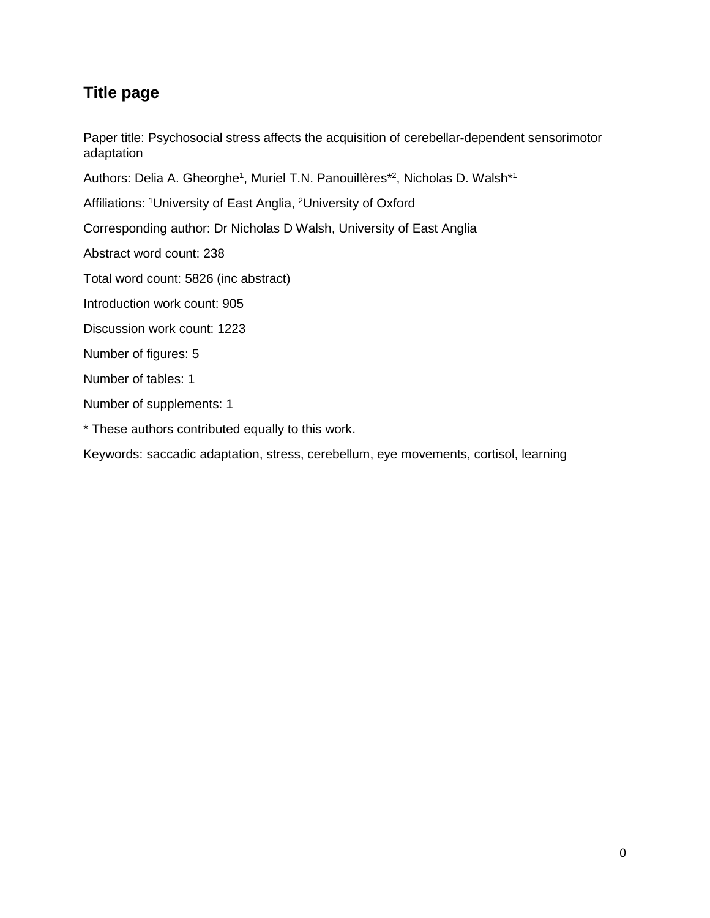# **Title page**

Paper title: Psychosocial stress affects the acquisition of cerebellar-dependent sensorimotor adaptation

Authors: Delia A. Gheorghe<sup>1</sup>, Muriel T.N. Panouillères\*<sup>2</sup>, Nicholas D. Walsh\*<sup>1</sup>

Affiliations: <sup>1</sup>University of East Anglia, <sup>2</sup>University of Oxford

Corresponding author: Dr Nicholas D Walsh, University of East Anglia

Abstract word count: 238

Total word count: 5826 (inc abstract)

Introduction work count: 905

Discussion work count: 1223

Number of figures: 5

Number of tables: 1

Number of supplements: 1

\* These authors contributed equally to this work.

Keywords: saccadic adaptation, stress, cerebellum, eye movements, cortisol, learning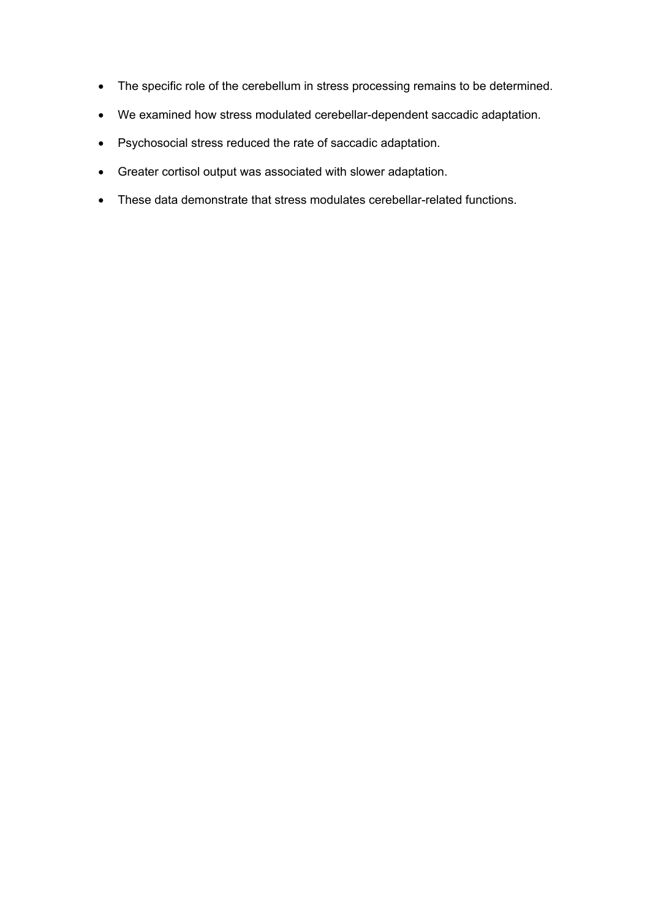- The specific role of the cerebellum in stress processing remains to be determined.
- We examined how stress modulated cerebellar-dependent saccadic adaptation.
- Psychosocial stress reduced the rate of saccadic adaptation.
- Greater cortisol output was associated with slower adaptation.
- These data demonstrate that stress modulates cerebellar-related functions.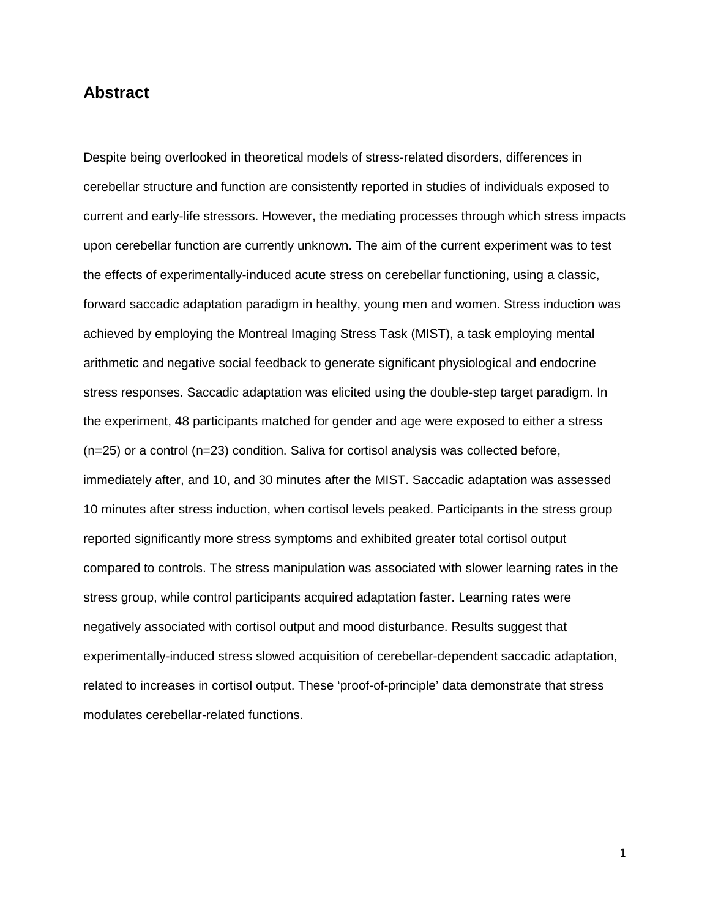## **Abstract**

Despite being overlooked in theoretical models of stress-related disorders, differences in cerebellar structure and function are consistently reported in studies of individuals exposed to current and early-life stressors. However, the mediating processes through which stress impacts upon cerebellar function are currently unknown. The aim of the current experiment was to test the effects of experimentally-induced acute stress on cerebellar functioning, using a classic, forward saccadic adaptation paradigm in healthy, young men and women. Stress induction was achieved by employing the Montreal Imaging Stress Task (MIST), a task employing mental arithmetic and negative social feedback to generate significant physiological and endocrine stress responses. Saccadic adaptation was elicited using the double-step target paradigm. In the experiment, 48 participants matched for gender and age were exposed to either a stress (n=25) or a control (n=23) condition. Saliva for cortisol analysis was collected before, immediately after, and 10, and 30 minutes after the MIST. Saccadic adaptation was assessed 10 minutes after stress induction, when cortisol levels peaked. Participants in the stress group reported significantly more stress symptoms and exhibited greater total cortisol output compared to controls. The stress manipulation was associated with slower learning rates in the stress group, while control participants acquired adaptation faster. Learning rates were negatively associated with cortisol output and mood disturbance. Results suggest that experimentally-induced stress slowed acquisition of cerebellar-dependent saccadic adaptation, related to increases in cortisol output. These 'proof-of-principle' data demonstrate that stress modulates cerebellar-related functions.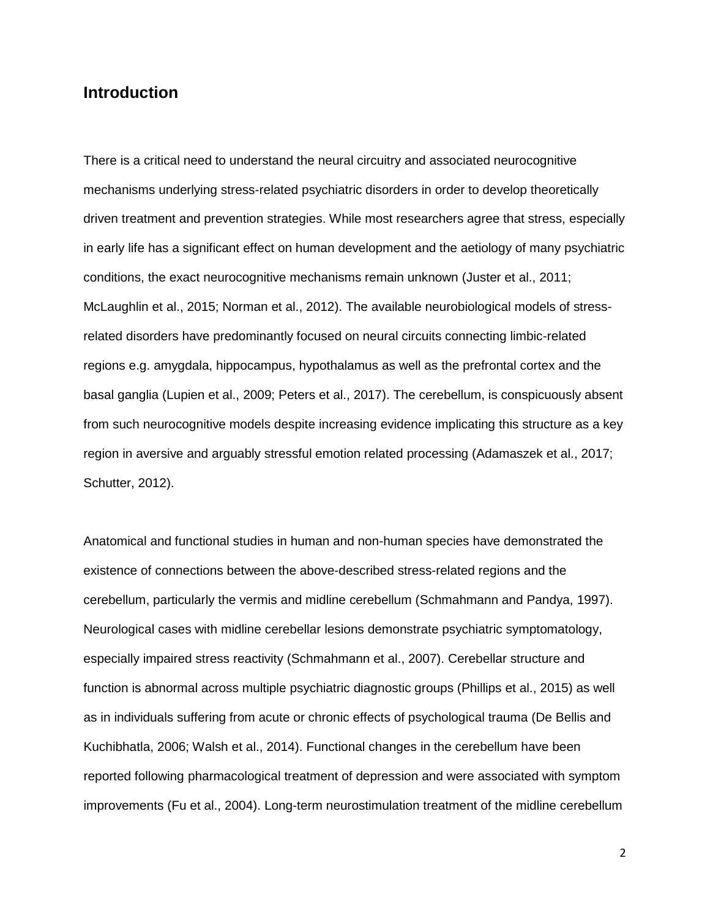## **Introduction**

There is a critical need to understand the neural circuitry and associated neurocognitive mechanisms underlying stress-related psychiatric disorders in order to develop theoretically driven treatment and prevention strategies. While most researchers agree that stress, especially in early life has a significant effect on human development and the aetiology of many psychiatric conditions, the exact neurocognitive mechanisms remain unknown (Juster et al., 2011; McLaughlin et al., 2015; Norman et al., 2012). The available neurobiological models of stressrelated disorders have predominantly focused on neural circuits connecting limbic-related regions e.g. amygdala, hippocampus, hypothalamus as well as the prefrontal cortex and the basal ganglia (Lupien et al., 2009; Peters et al., 2017). The cerebellum, is conspicuously absent from such neurocognitive models despite increasing evidence implicating this structure as a key region in aversive and arguably stressful emotion related processing (Adamaszek et al., 2017; Schutter, 2012).

Anatomical and functional studies in human and non-human species have demonstrated the existence of connections between the above-described stress-related regions and the cerebellum, particularly the vermis and midline cerebellum (Schmahmann and Pandya, 1997). Neurological cases with midline cerebellar lesions demonstrate psychiatric symptomatology, especially impaired stress reactivity (Schmahmann et al., 2007). Cerebellar structure and function is abnormal across multiple psychiatric diagnostic groups (Phillips et al., 2015) as well as in individuals suffering from acute or chronic effects of psychological trauma (De Bellis and Kuchibhatla, 2006; Walsh et al., 2014). Functional changes in the cerebellum have been reported following pharmacological treatment of depression and were associated with symptom improvements (Fu et al., 2004). Long-term neurostimulation treatment of the midline cerebellum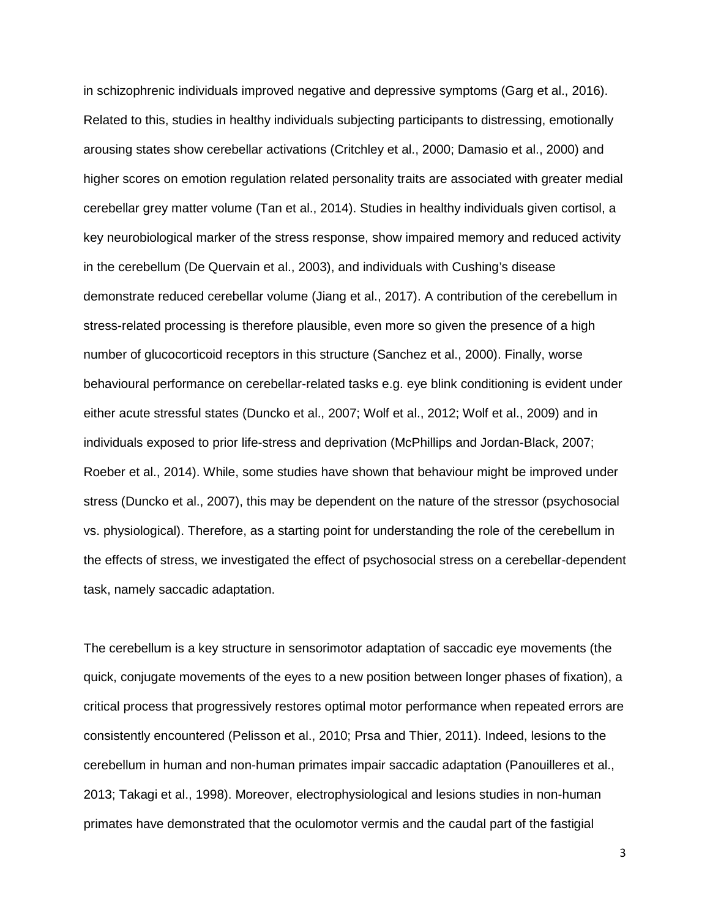in schizophrenic individuals improved negative and depressive symptoms (Garg et al., 2016). Related to this, studies in healthy individuals subjecting participants to distressing, emotionally arousing states show cerebellar activations (Critchley et al., 2000; Damasio et al., 2000) and higher scores on emotion regulation related personality traits are associated with greater medial cerebellar grey matter volume (Tan et al., 2014). Studies in healthy individuals given cortisol, a key neurobiological marker of the stress response, show impaired memory and reduced activity in the cerebellum (De Quervain et al., 2003), and individuals with Cushing's disease demonstrate reduced cerebellar volume (Jiang et al., 2017). A contribution of the cerebellum in stress-related processing is therefore plausible, even more so given the presence of a high number of glucocorticoid receptors in this structure (Sanchez et al., 2000). Finally, worse behavioural performance on cerebellar-related tasks e.g. eye blink conditioning is evident under either acute stressful states (Duncko et al., 2007; Wolf et al., 2012; Wolf et al., 2009) and in individuals exposed to prior life-stress and deprivation (McPhillips and Jordan-Black, 2007; Roeber et al., 2014). While, some studies have shown that behaviour might be improved under stress (Duncko et al., 2007), this may be dependent on the nature of the stressor (psychosocial vs. physiological). Therefore, as a starting point for understanding the role of the cerebellum in the effects of stress, we investigated the effect of psychosocial stress on a cerebellar-dependent task, namely saccadic adaptation.

The cerebellum is a key structure in sensorimotor adaptation of saccadic eye movements (the quick, conjugate movements of the eyes to a new position between longer phases of fixation), a critical process that progressively restores optimal motor performance when repeated errors are consistently encountered (Pelisson et al., 2010; Prsa and Thier, 2011). Indeed, lesions to the cerebellum in human and non-human primates impair saccadic adaptation (Panouilleres et al., 2013; Takagi et al., 1998). Moreover, electrophysiological and lesions studies in non-human primates have demonstrated that the oculomotor vermis and the caudal part of the fastigial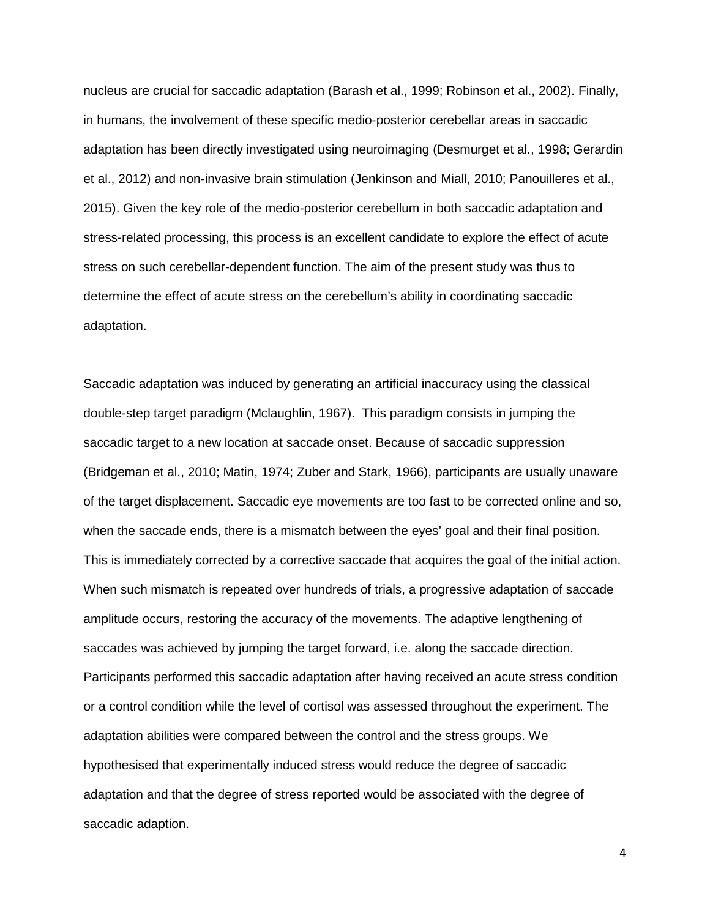nucleus are crucial for saccadic adaptation (Barash et al., 1999; Robinson et al., 2002). Finally, in humans, the involvement of these specific medio-posterior cerebellar areas in saccadic adaptation has been directly investigated using neuroimaging (Desmurget et al., 1998; Gerardin et al., 2012) and non-invasive brain stimulation (Jenkinson and Miall, 2010; Panouilleres et al., 2015). Given the key role of the medio-posterior cerebellum in both saccadic adaptation and stress-related processing, this process is an excellent candidate to explore the effect of acute stress on such cerebellar-dependent function. The aim of the present study was thus to determine the effect of acute stress on the cerebellum's ability in coordinating saccadic adaptation.

Saccadic adaptation was induced by generating an artificial inaccuracy using the classical double-step target paradigm (Mclaughlin, 1967). This paradigm consists in jumping the saccadic target to a new location at saccade onset. Because of saccadic suppression (Bridgeman et al., 2010; Matin, 1974; Zuber and Stark, 1966), participants are usually unaware of the target displacement. Saccadic eye movements are too fast to be corrected online and so, when the saccade ends, there is a mismatch between the eyes' goal and their final position. This is immediately corrected by a corrective saccade that acquires the goal of the initial action. When such mismatch is repeated over hundreds of trials, a progressive adaptation of saccade amplitude occurs, restoring the accuracy of the movements. The adaptive lengthening of saccades was achieved by jumping the target forward, i.e. along the saccade direction. Participants performed this saccadic adaptation after having received an acute stress condition or a control condition while the level of cortisol was assessed throughout the experiment. The adaptation abilities were compared between the control and the stress groups. We hypothesised that experimentally induced stress would reduce the degree of saccadic adaptation and that the degree of stress reported would be associated with the degree of saccadic adaption.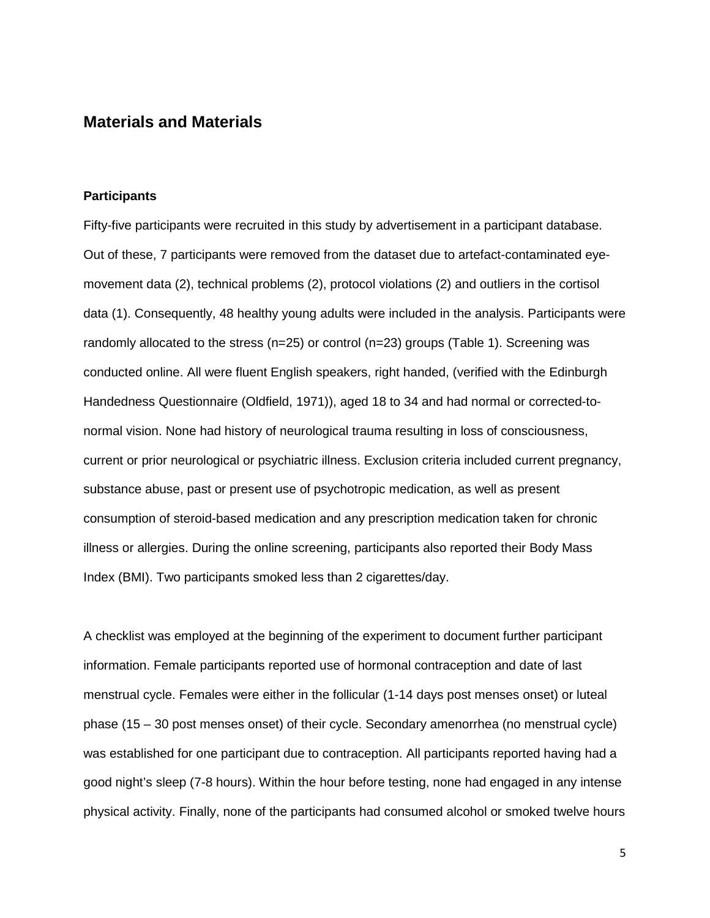## **Materials and Materials**

#### **Participants**

Fifty-five participants were recruited in this study by advertisement in a participant database. Out of these, 7 participants were removed from the dataset due to artefact-contaminated eyemovement data (2), technical problems (2), protocol violations (2) and outliers in the cortisol data (1). Consequently, 48 healthy young adults were included in the analysis. Participants were randomly allocated to the stress (n=25) or control (n=23) groups (Table 1). Screening was conducted online. All were fluent English speakers, right handed, (verified with the Edinburgh Handedness Questionnaire (Oldfield, 1971)), aged 18 to 34 and had normal or corrected-tonormal vision. None had history of neurological trauma resulting in loss of consciousness, current or prior neurological or psychiatric illness. Exclusion criteria included current pregnancy, substance abuse, past or present use of psychotropic medication, as well as present consumption of steroid-based medication and any prescription medication taken for chronic illness or allergies. During the online screening, participants also reported their Body Mass Index (BMI). Two participants smoked less than 2 cigarettes/day.

A checklist was employed at the beginning of the experiment to document further participant information. Female participants reported use of hormonal contraception and date of last menstrual cycle. Females were either in the follicular (1-14 days post menses onset) or luteal phase (15 – 30 post menses onset) of their cycle. Secondary amenorrhea (no menstrual cycle) was established for one participant due to contraception. All participants reported having had a good night's sleep (7-8 hours). Within the hour before testing, none had engaged in any intense physical activity. Finally, none of the participants had consumed alcohol or smoked twelve hours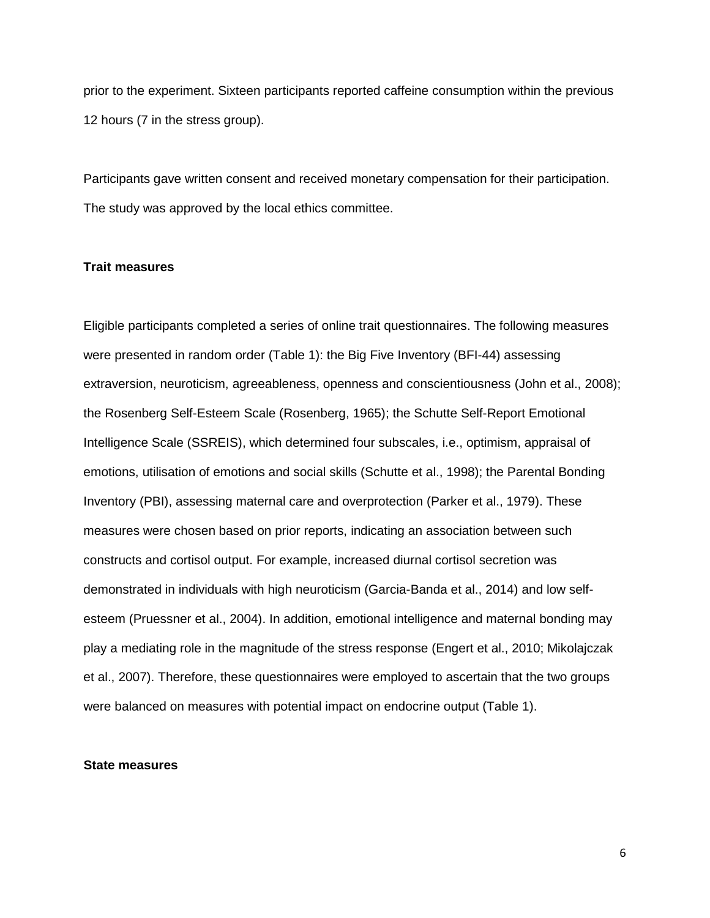prior to the experiment. Sixteen participants reported caffeine consumption within the previous 12 hours (7 in the stress group).

Participants gave written consent and received monetary compensation for their participation. The study was approved by the local ethics committee.

### **Trait measures**

Eligible participants completed a series of online trait questionnaires. The following measures were presented in random order (Table 1): the Big Five Inventory (BFI-44) assessing extraversion, neuroticism, agreeableness, openness and conscientiousness (John et al., 2008); the Rosenberg Self-Esteem Scale (Rosenberg, 1965); the Schutte Self-Report Emotional Intelligence Scale (SSREIS), which determined four subscales, i.e., optimism, appraisal of emotions, utilisation of emotions and social skills (Schutte et al., 1998); the Parental Bonding Inventory (PBI), assessing maternal care and overprotection (Parker et al., 1979). These measures were chosen based on prior reports, indicating an association between such constructs and cortisol output. For example, increased diurnal cortisol secretion was demonstrated in individuals with high neuroticism (Garcia-Banda et al., 2014) and low selfesteem (Pruessner et al., 2004). In addition, emotional intelligence and maternal bonding may play a mediating role in the magnitude of the stress response (Engert et al., 2010; Mikolajczak et al., 2007). Therefore, these questionnaires were employed to ascertain that the two groups were balanced on measures with potential impact on endocrine output (Table 1).

#### **State measures**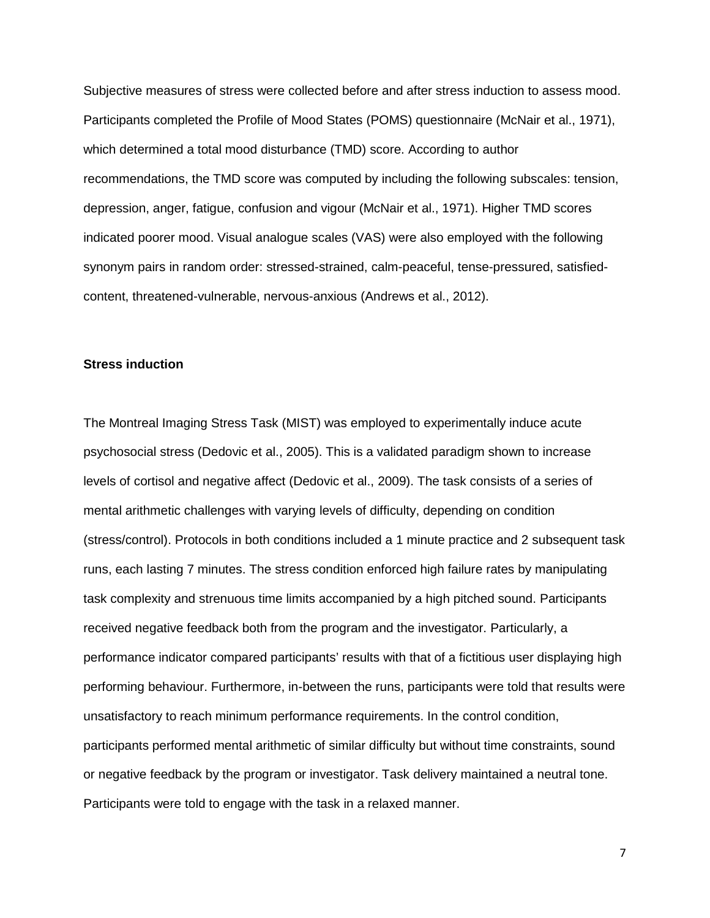Subjective measures of stress were collected before and after stress induction to assess mood. Participants completed the Profile of Mood States (POMS) questionnaire (McNair et al., 1971), which determined a total mood disturbance (TMD) score. According to author recommendations, the TMD score was computed by including the following subscales: tension, depression, anger, fatigue, confusion and vigour (McNair et al., 1971). Higher TMD scores indicated poorer mood. Visual analogue scales (VAS) were also employed with the following synonym pairs in random order: stressed-strained, calm-peaceful, tense-pressured, satisfiedcontent, threatened-vulnerable, nervous-anxious (Andrews et al., 2012).

#### **Stress induction**

The Montreal Imaging Stress Task (MIST) was employed to experimentally induce acute psychosocial stress (Dedovic et al., 2005). This is a validated paradigm shown to increase levels of cortisol and negative affect (Dedovic et al., 2009). The task consists of a series of mental arithmetic challenges with varying levels of difficulty, depending on condition (stress/control). Protocols in both conditions included a 1 minute practice and 2 subsequent task runs, each lasting 7 minutes. The stress condition enforced high failure rates by manipulating task complexity and strenuous time limits accompanied by a high pitched sound. Participants received negative feedback both from the program and the investigator. Particularly, a performance indicator compared participants' results with that of a fictitious user displaying high performing behaviour. Furthermore, in-between the runs, participants were told that results were unsatisfactory to reach minimum performance requirements. In the control condition, participants performed mental arithmetic of similar difficulty but without time constraints, sound or negative feedback by the program or investigator. Task delivery maintained a neutral tone. Participants were told to engage with the task in a relaxed manner.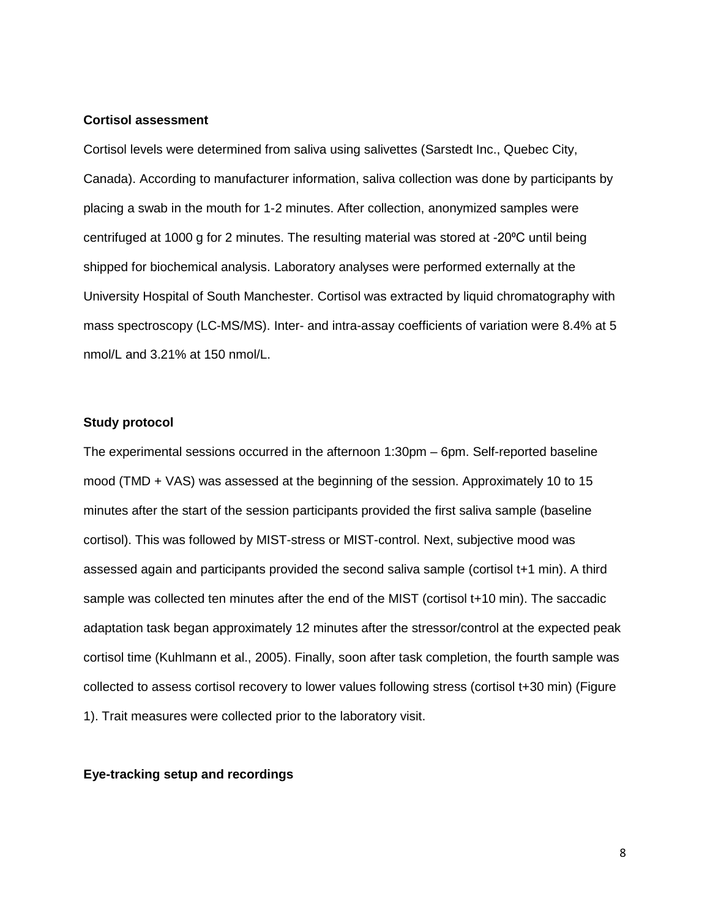#### **Cortisol assessment**

Cortisol levels were determined from saliva using salivettes (Sarstedt Inc., Quebec City, Canada). According to manufacturer information, saliva collection was done by participants by placing a swab in the mouth for 1-2 minutes. After collection, anonymized samples were centrifuged at 1000 g for 2 minutes. The resulting material was stored at -20<sup>o</sup>C until being shipped for biochemical analysis. Laboratory analyses were performed externally at the University Hospital of South Manchester. Cortisol was extracted by liquid chromatography with mass spectroscopy (LC-MS/MS). Inter- and intra-assay coefficients of variation were 8.4% at 5 nmol/L and 3.21% at 150 nmol/L.

### **Study protocol**

The experimental sessions occurred in the afternoon 1:30pm – 6pm. Self-reported baseline mood (TMD + VAS) was assessed at the beginning of the session. Approximately 10 to 15 minutes after the start of the session participants provided the first saliva sample (baseline cortisol). This was followed by MIST-stress or MIST-control. Next, subjective mood was assessed again and participants provided the second saliva sample (cortisol t+1 min). A third sample was collected ten minutes after the end of the MIST (cortisol t+10 min). The saccadic adaptation task began approximately 12 minutes after the stressor/control at the expected peak cortisol time (Kuhlmann et al., 2005). Finally, soon after task completion, the fourth sample was collected to assess cortisol recovery to lower values following stress (cortisol t+30 min) (Figure 1). Trait measures were collected prior to the laboratory visit.

### **Eye-tracking setup and recordings**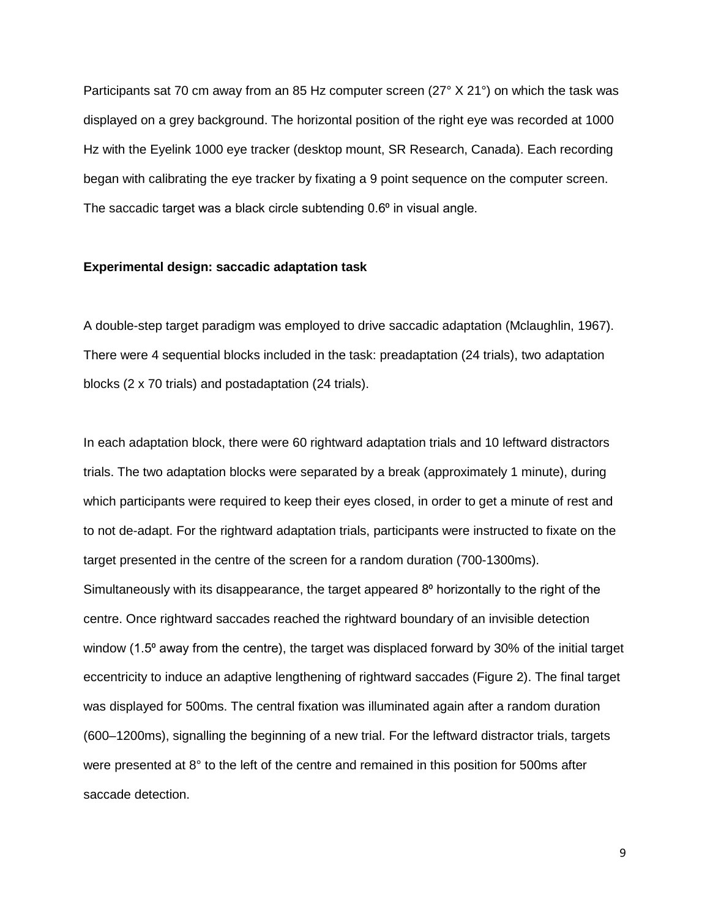Participants sat 70 cm away from an 85 Hz computer screen (27° X 21°) on which the task was displayed on a grey background. The horizontal position of the right eye was recorded at 1000 Hz with the Eyelink 1000 eye tracker (desktop mount, SR Research, Canada). Each recording began with calibrating the eye tracker by fixating a 9 point sequence on the computer screen. The saccadic target was a black circle subtending  $0.6<sup>o</sup>$  in visual angle.

### **Experimental design: saccadic adaptation task**

A double-step target paradigm was employed to drive saccadic adaptation (Mclaughlin, 1967). There were 4 sequential blocks included in the task: preadaptation (24 trials), two adaptation blocks (2 x 70 trials) and postadaptation (24 trials).

In each adaptation block, there were 60 rightward adaptation trials and 10 leftward distractors trials. The two adaptation blocks were separated by a break (approximately 1 minute), during which participants were required to keep their eyes closed, in order to get a minute of rest and to not de-adapt. For the rightward adaptation trials, participants were instructed to fixate on the target presented in the centre of the screen for a random duration (700-1300ms). Simultaneously with its disappearance, the target appeared  $8<sup>o</sup>$  horizontally to the right of the centre. Once rightward saccades reached the rightward boundary of an invisible detection window (1.5<sup>o</sup> away from the centre), the target was displaced forward by 30% of the initial target eccentricity to induce an adaptive lengthening of rightward saccades (Figure 2). The final target was displayed for 500ms. The central fixation was illuminated again after a random duration (600–1200ms), signalling the beginning of a new trial. For the leftward distractor trials, targets were presented at 8° to the left of the centre and remained in this position for 500ms after saccade detection.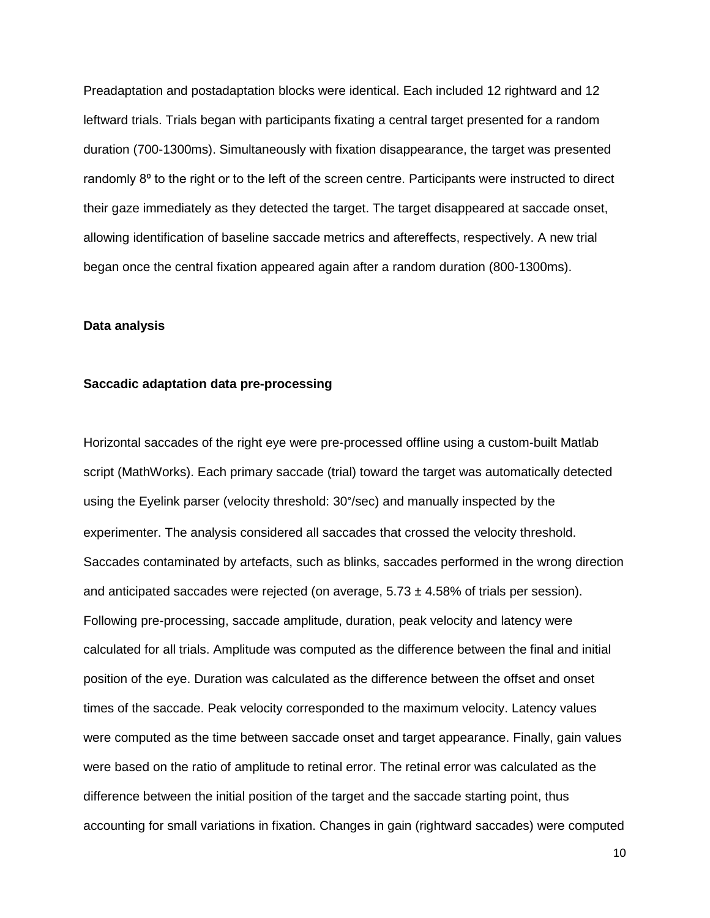Preadaptation and postadaptation blocks were identical. Each included 12 rightward and 12 leftward trials. Trials began with participants fixating a central target presented for a random duration (700-1300ms). Simultaneously with fixation disappearance, the target was presented randomly 8<sup>o</sup> to the right or to the left of the screen centre. Participants were instructed to direct their gaze immediately as they detected the target. The target disappeared at saccade onset, allowing identification of baseline saccade metrics and aftereffects, respectively. A new trial began once the central fixation appeared again after a random duration (800-1300ms).

#### **Data analysis**

#### **Saccadic adaptation data pre-processing**

Horizontal saccades of the right eye were pre-processed offline using a custom-built Matlab script (MathWorks). Each primary saccade (trial) toward the target was automatically detected using the Eyelink parser (velocity threshold: 30°/sec) and manually inspected by the experimenter. The analysis considered all saccades that crossed the velocity threshold. Saccades contaminated by artefacts, such as blinks, saccades performed in the wrong direction and anticipated saccades were rejected (on average,  $5.73 \pm 4.58\%$  of trials per session). Following pre-processing, saccade amplitude, duration, peak velocity and latency were calculated for all trials. Amplitude was computed as the difference between the final and initial position of the eye. Duration was calculated as the difference between the offset and onset times of the saccade. Peak velocity corresponded to the maximum velocity. Latency values were computed as the time between saccade onset and target appearance. Finally, gain values were based on the ratio of amplitude to retinal error. The retinal error was calculated as the difference between the initial position of the target and the saccade starting point, thus accounting for small variations in fixation. Changes in gain (rightward saccades) were computed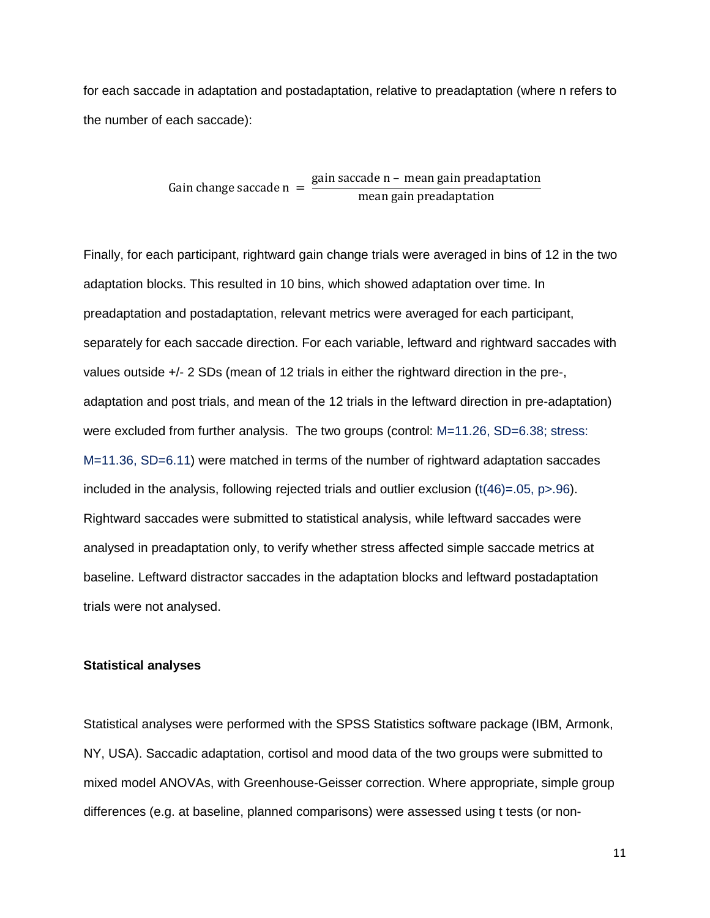for each saccade in adaptation and postadaptation, relative to preadaptation (where n refers to the number of each saccade):

Gain change saccade n =  $\frac{gain\,\,saccade\,\,n - mean\,\,gain\,\,predapitation}{mean\,\,gain\,\,predapitation}$ 

Finally, for each participant, rightward gain change trials were averaged in bins of 12 in the two adaptation blocks. This resulted in 10 bins, which showed adaptation over time. In preadaptation and postadaptation, relevant metrics were averaged for each participant, separately for each saccade direction. For each variable, leftward and rightward saccades with values outside +/- 2 SDs (mean of 12 trials in either the rightward direction in the pre-, adaptation and post trials, and mean of the 12 trials in the leftward direction in pre-adaptation) were excluded from further analysis. The two groups (control: M=11.26, SD=6.38; stress: M=11.36, SD=6.11) were matched in terms of the number of rightward adaptation saccades included in the analysis, following rejected trials and outlier exclusion  $(t(46)=0.05, p>0.96)$ . Rightward saccades were submitted to statistical analysis, while leftward saccades were analysed in preadaptation only, to verify whether stress affected simple saccade metrics at baseline. Leftward distractor saccades in the adaptation blocks and leftward postadaptation trials were not analysed.

#### **Statistical analyses**

Statistical analyses were performed with the SPSS Statistics software package (IBM, Armonk, NY, USA). Saccadic adaptation, cortisol and mood data of the two groups were submitted to mixed model ANOVAs, with Greenhouse-Geisser correction. Where appropriate, simple group differences (e.g. at baseline, planned comparisons) were assessed using t tests (or non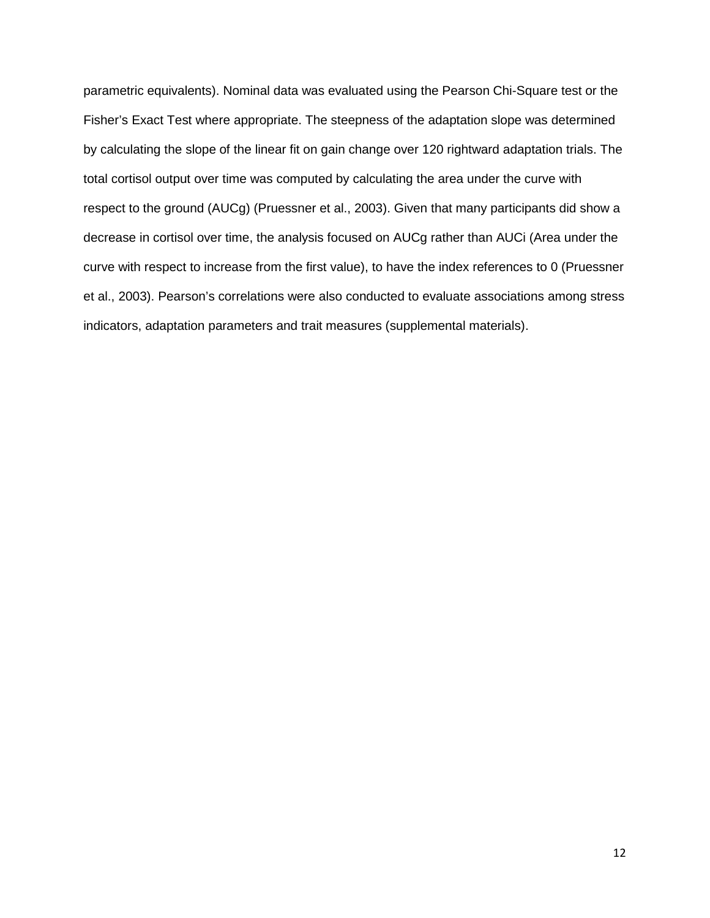parametric equivalents). Nominal data was evaluated using the Pearson Chi-Square test or the Fisher's Exact Test where appropriate. The steepness of the adaptation slope was determined by calculating the slope of the linear fit on gain change over 120 rightward adaptation trials. The total cortisol output over time was computed by calculating the area under the curve with respect to the ground (AUCg) (Pruessner et al., 2003). Given that many participants did show a decrease in cortisol over time, the analysis focused on AUCg rather than AUCi (Area under the curve with respect to increase from the first value), to have the index references to 0 (Pruessner et al., 2003). Pearson's correlations were also conducted to evaluate associations among stress indicators, adaptation parameters and trait measures (supplemental materials).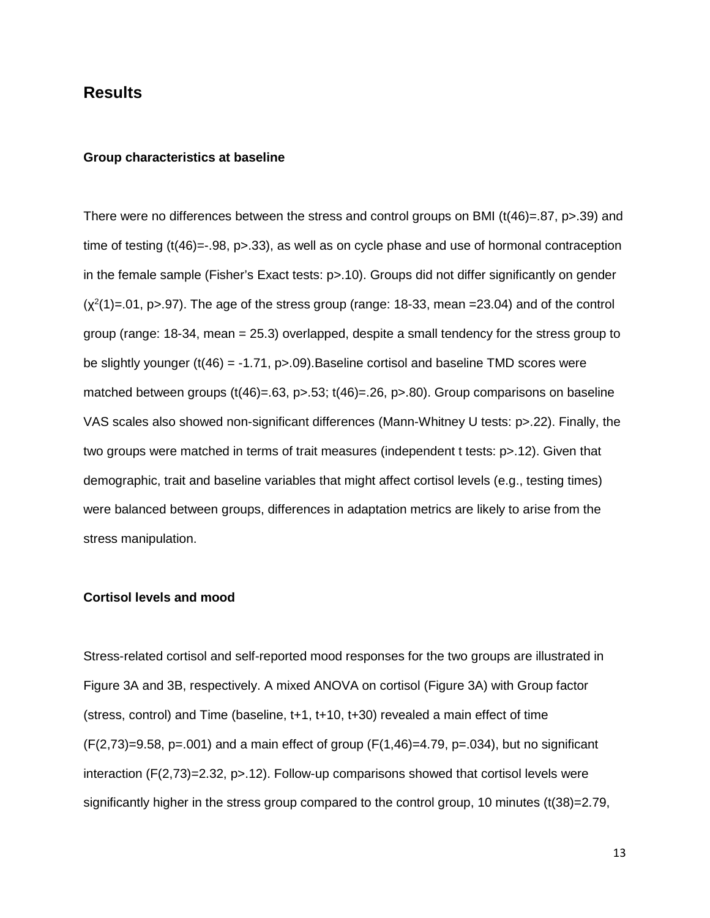## **Results**

#### **Group characteristics at baseline**

There were no differences between the stress and control groups on BMI ( $t(46)$ =.87, p>.39) and time of testing (t(46)=-.98, p>.33), as well as on cycle phase and use of hormonal contraception in the female sample (Fisher's Exact tests: p>.10). Groups did not differ significantly on gender  $(\chi^2(1)=01, p>0.97)$ . The age of the stress group (range: 18-33, mean =23.04) and of the control group (range: 18-34, mean = 25.3) overlapped, despite a small tendency for the stress group to be slightly younger ( $t(46) = -1.71$ , p $> 0.09$ ). Baseline cortisol and baseline TMD scores were matched between groups  $(t(46)=.63, p>0.53; t(46)=.26, p>0.80)$ . Group comparisons on baseline VAS scales also showed non-significant differences (Mann-Whitney U tests: p>.22). Finally, the two groups were matched in terms of trait measures (independent t tests: p>.12). Given that demographic, trait and baseline variables that might affect cortisol levels (e.g., testing times) were balanced between groups, differences in adaptation metrics are likely to arise from the stress manipulation.

#### **Cortisol levels and mood**

Stress-related cortisol and self-reported mood responses for the two groups are illustrated in Figure 3A and 3B, respectively. A mixed ANOVA on cortisol (Figure 3A) with Group factor (stress, control) and Time (baseline,  $t+1$ ,  $t+10$ ,  $t+30$ ) revealed a main effect of time  $(F(2,73)=9.58, p=.001)$  and a main effect of group  $(F(1,46)=4.79, p=.034)$ , but no significant interaction  $(F(2,73)=2.32, p>12)$ . Follow-up comparisons showed that cortisol levels were significantly higher in the stress group compared to the control group, 10 minutes (t(38)=2.79,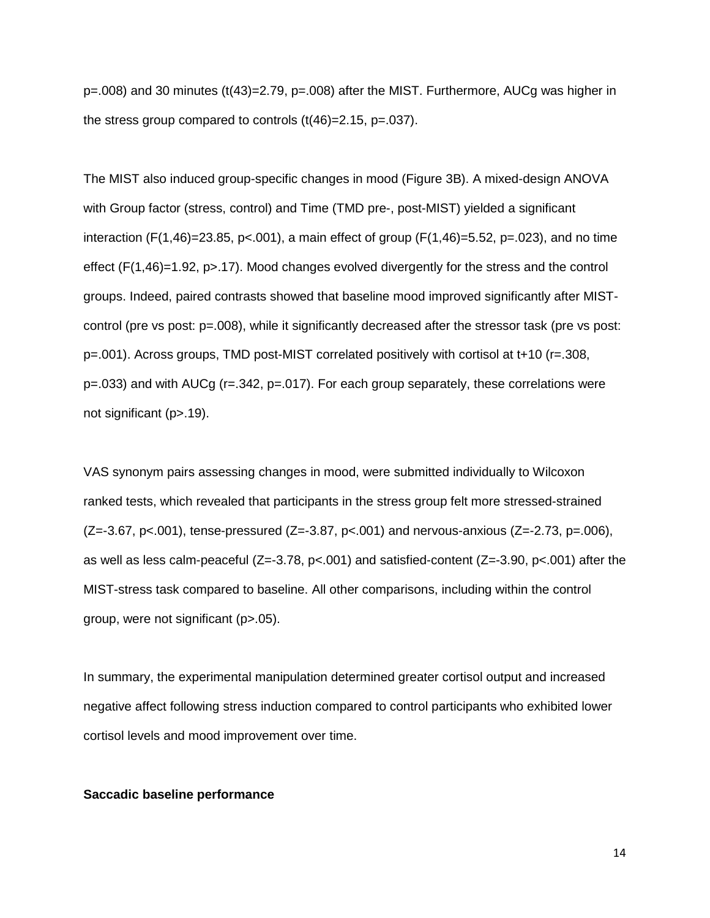p=.008) and 30 minutes (t(43)=2.79, p=.008) after the MIST. Furthermore, AUCg was higher in the stress group compared to controls (t(46)=2.15, p=.037).

The MIST also induced group-specific changes in mood (Figure 3B). A mixed-design ANOVA with Group factor (stress, control) and Time (TMD pre-, post-MIST) yielded a significant interaction (F(1,46)=23.85, p<.001), a main effect of group (F(1,46)=5.52, p=.023), and no time effect (F(1,46)=1.92, p>.17). Mood changes evolved divergently for the stress and the control groups. Indeed, paired contrasts showed that baseline mood improved significantly after MISTcontrol (pre vs post: p=.008), while it significantly decreased after the stressor task (pre vs post: p=.001). Across groups, TMD post-MIST correlated positively with cortisol at t+10 (r=.308, p=.033) and with AUCg (r=.342, p=.017). For each group separately, these correlations were not significant (p>.19).

VAS synonym pairs assessing changes in mood, were submitted individually to Wilcoxon ranked tests, which revealed that participants in the stress group felt more stressed-strained  $(Z=-3.67, p<0.001)$ , tense-pressured  $(Z=-3.87, p<0.001)$  and nervous-anxious  $(Z=-2.73, p=.006)$ , as well as less calm-peaceful (Z=-3.78, p<.001) and satisfied-content (Z=-3.90, p<.001) after the MIST-stress task compared to baseline. All other comparisons, including within the control group, were not significant (p>.05).

In summary, the experimental manipulation determined greater cortisol output and increased negative affect following stress induction compared to control participants who exhibited lower cortisol levels and mood improvement over time.

#### **Saccadic baseline performance**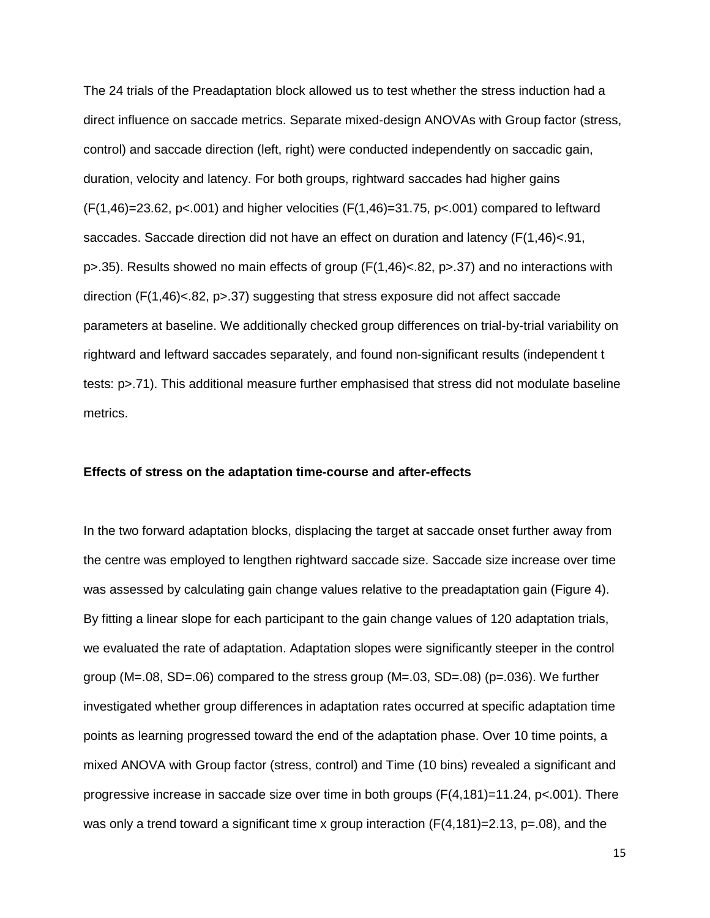The 24 trials of the Preadaptation block allowed us to test whether the stress induction had a direct influence on saccade metrics. Separate mixed-design ANOVAs with Group factor (stress, control) and saccade direction (left, right) were conducted independently on saccadic gain, duration, velocity and latency. For both groups, rightward saccades had higher gains  $(F(1,46)=23.62, p<.001)$  and higher velocities  $(F(1,46)=31.75, p<.001)$  compared to leftward saccades. Saccade direction did not have an effect on duration and latency (F(1,46)<.91, p>.35). Results showed no main effects of group (F(1,46)<.82, p>.37) and no interactions with direction (F(1,46)<.82, p>.37) suggesting that stress exposure did not affect saccade parameters at baseline. We additionally checked group differences on trial-by-trial variability on rightward and leftward saccades separately, and found non-significant results (independent t tests: p>.71). This additional measure further emphasised that stress did not modulate baseline metrics.

#### **Effects of stress on the adaptation time-course and after-effects**

In the two forward adaptation blocks, displacing the target at saccade onset further away from the centre was employed to lengthen rightward saccade size. Saccade size increase over time was assessed by calculating gain change values relative to the preadaptation gain (Figure 4). By fitting a linear slope for each participant to the gain change values of 120 adaptation trials, we evaluated the rate of adaptation. Adaptation slopes were significantly steeper in the control group (M=.08, SD=.06) compared to the stress group (M=.03, SD=.08) (p=.036). We further investigated whether group differences in adaptation rates occurred at specific adaptation time points as learning progressed toward the end of the adaptation phase. Over 10 time points, a mixed ANOVA with Group factor (stress, control) and Time (10 bins) revealed a significant and progressive increase in saccade size over time in both groups  $(F(4,181)=11.24, p<0.01)$ . There was only a trend toward a significant time x group interaction  $(F(4,181)=2.13, p=.08)$ , and the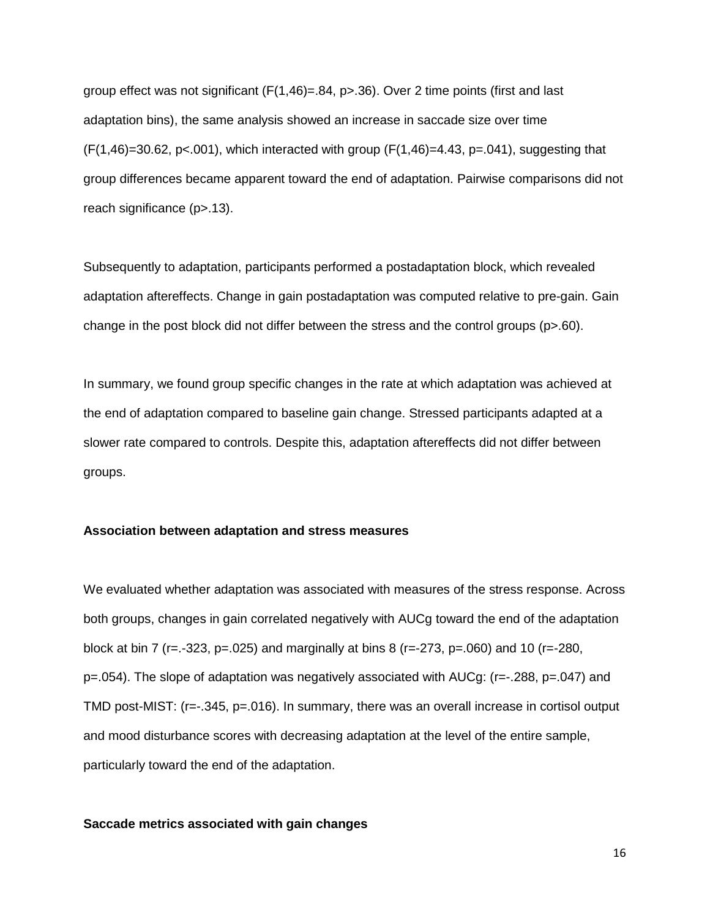group effect was not significant  $(F(1,46)=.84, p>0.36)$ . Over 2 time points (first and last adaptation bins), the same analysis showed an increase in saccade size over time  $(F(1,46)=30.62, p<0.001)$ , which interacted with group  $(F(1,46)=4.43, p=.041)$ , suggesting that group differences became apparent toward the end of adaptation. Pairwise comparisons did not reach significance (p>.13).

Subsequently to adaptation, participants performed a postadaptation block, which revealed adaptation aftereffects. Change in gain postadaptation was computed relative to pre-gain. Gain change in the post block did not differ between the stress and the control groups (p>.60).

In summary, we found group specific changes in the rate at which adaptation was achieved at the end of adaptation compared to baseline gain change. Stressed participants adapted at a slower rate compared to controls. Despite this, adaptation aftereffects did not differ between groups.

### **Association between adaptation and stress measures**

We evaluated whether adaptation was associated with measures of the stress response. Across both groups, changes in gain correlated negatively with AUCg toward the end of the adaptation block at bin 7 (r=.-323, p=.025) and marginally at bins 8 (r=-273, p=.060) and 10 (r=-280, p=.054). The slope of adaptation was negatively associated with AUCg: (r=-.288, p=.047) and TMD post-MIST: (r=-.345, p=.016). In summary, there was an overall increase in cortisol output and mood disturbance scores with decreasing adaptation at the level of the entire sample, particularly toward the end of the adaptation.

#### **Saccade metrics associated with gain changes**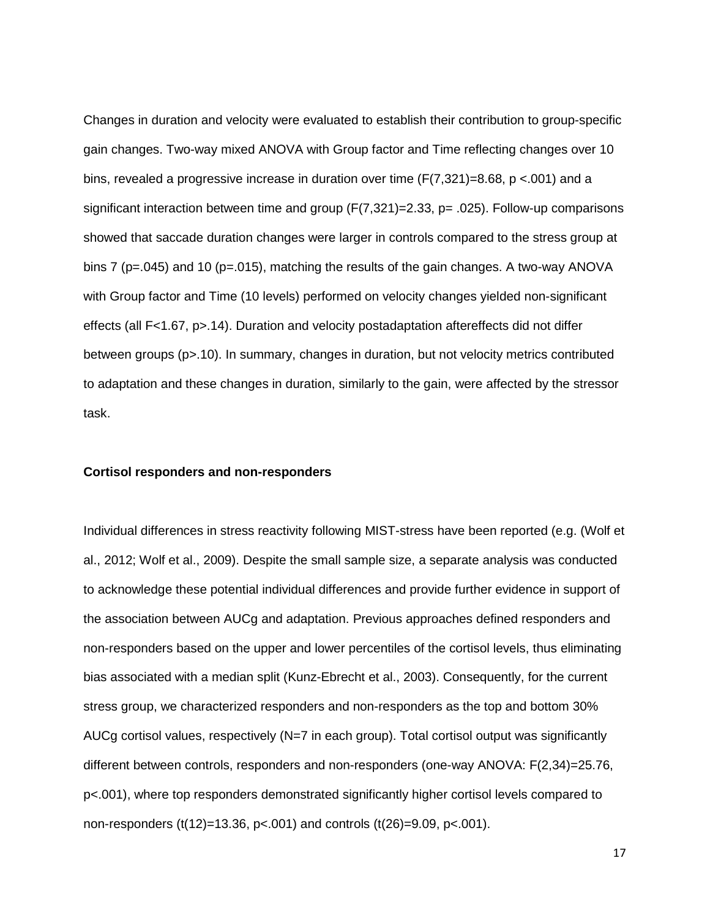Changes in duration and velocity were evaluated to establish their contribution to group-specific gain changes. Two-way mixed ANOVA with Group factor and Time reflecting changes over 10 bins, revealed a progressive increase in duration over time  $(F(7,321)=8.68, p < 0.001)$  and a significant interaction between time and group (F(7,321)=2.33, p= .025). Follow-up comparisons showed that saccade duration changes were larger in controls compared to the stress group at bins 7 (p=.045) and 10 (p=.015), matching the results of the gain changes. A two-way ANOVA with Group factor and Time (10 levels) performed on velocity changes yielded non-significant effects (all F<1.67, p>.14). Duration and velocity postadaptation aftereffects did not differ between groups (p>.10). In summary, changes in duration, but not velocity metrics contributed to adaptation and these changes in duration, similarly to the gain, were affected by the stressor task.

### **Cortisol responders and non-responders**

Individual differences in stress reactivity following MIST-stress have been reported (e.g. (Wolf et al., 2012; Wolf et al., 2009). Despite the small sample size, a separate analysis was conducted to acknowledge these potential individual differences and provide further evidence in support of the association between AUCg and adaptation. Previous approaches defined responders and non-responders based on the upper and lower percentiles of the cortisol levels, thus eliminating bias associated with a median split (Kunz-Ebrecht et al., 2003). Consequently, for the current stress group, we characterized responders and non-responders as the top and bottom 30% AUCg cortisol values, respectively (N=7 in each group). Total cortisol output was significantly different between controls, responders and non-responders (one-way ANOVA: F(2,34)=25.76, p<.001), where top responders demonstrated significantly higher cortisol levels compared to non-responders (t(12)=13.36, p<.001) and controls (t(26)=9.09, p<.001).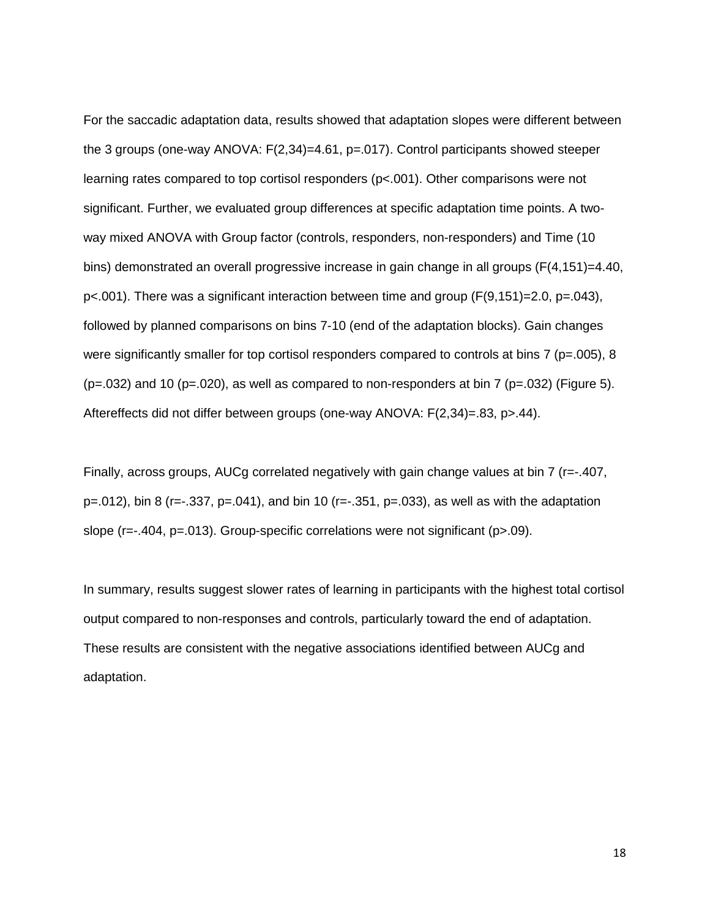For the saccadic adaptation data, results showed that adaptation slopes were different between the 3 groups (one-way ANOVA: F(2,34)=4.61, p=.017). Control participants showed steeper learning rates compared to top cortisol responders (p<.001). Other comparisons were not significant. Further, we evaluated group differences at specific adaptation time points. A twoway mixed ANOVA with Group factor (controls, responders, non-responders) and Time (10 bins) demonstrated an overall progressive increase in gain change in all groups (F(4,151)=4.40, p<.001). There was a significant interaction between time and group (F(9,151)=2.0, p=.043), followed by planned comparisons on bins 7-10 (end of the adaptation blocks). Gain changes were significantly smaller for top cortisol responders compared to controls at bins 7 ( $p=.005$ ), 8  $(p=.032)$  and 10 (p=.020), as well as compared to non-responders at bin 7 (p=.032) (Figure 5). Aftereffects did not differ between groups (one-way ANOVA: F(2,34)=.83, p>.44).

Finally, across groups, AUCg correlated negatively with gain change values at bin 7 (r=-.407,  $p=0.012$ ), bin 8 (r=-.337,  $p=0.041$ ), and bin 10 (r=-.351,  $p=0.033$ ), as well as with the adaptation slope (r=-.404, p=.013). Group-specific correlations were not significant (p>.09).

In summary, results suggest slower rates of learning in participants with the highest total cortisol output compared to non-responses and controls, particularly toward the end of adaptation. These results are consistent with the negative associations identified between AUCg and adaptation.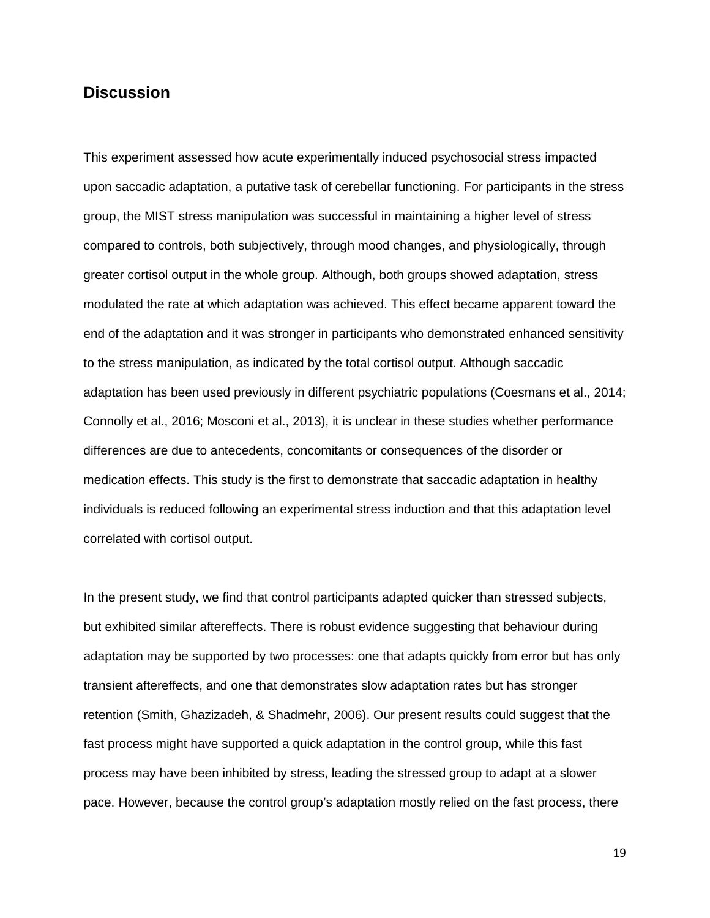## **Discussion**

This experiment assessed how acute experimentally induced psychosocial stress impacted upon saccadic adaptation, a putative task of cerebellar functioning. For participants in the stress group, the MIST stress manipulation was successful in maintaining a higher level of stress compared to controls, both subjectively, through mood changes, and physiologically, through greater cortisol output in the whole group. Although, both groups showed adaptation, stress modulated the rate at which adaptation was achieved. This effect became apparent toward the end of the adaptation and it was stronger in participants who demonstrated enhanced sensitivity to the stress manipulation, as indicated by the total cortisol output. Although saccadic adaptation has been used previously in different psychiatric populations (Coesmans et al., 2014; Connolly et al., 2016; Mosconi et al., 2013), it is unclear in these studies whether performance differences are due to antecedents, concomitants or consequences of the disorder or medication effects. This study is the first to demonstrate that saccadic adaptation in healthy individuals is reduced following an experimental stress induction and that this adaptation level correlated with cortisol output.

In the present study, we find that control participants adapted quicker than stressed subjects, but exhibited similar aftereffects. There is robust evidence suggesting that behaviour during adaptation may be supported by two processes: one that adapts quickly from error but has only transient aftereffects, and one that demonstrates slow adaptation rates but has stronger retention (Smith, Ghazizadeh, & Shadmehr, 2006). Our present results could suggest that the fast process might have supported a quick adaptation in the control group, while this fast process may have been inhibited by stress, leading the stressed group to adapt at a slower pace. However, because the control group's adaptation mostly relied on the fast process, there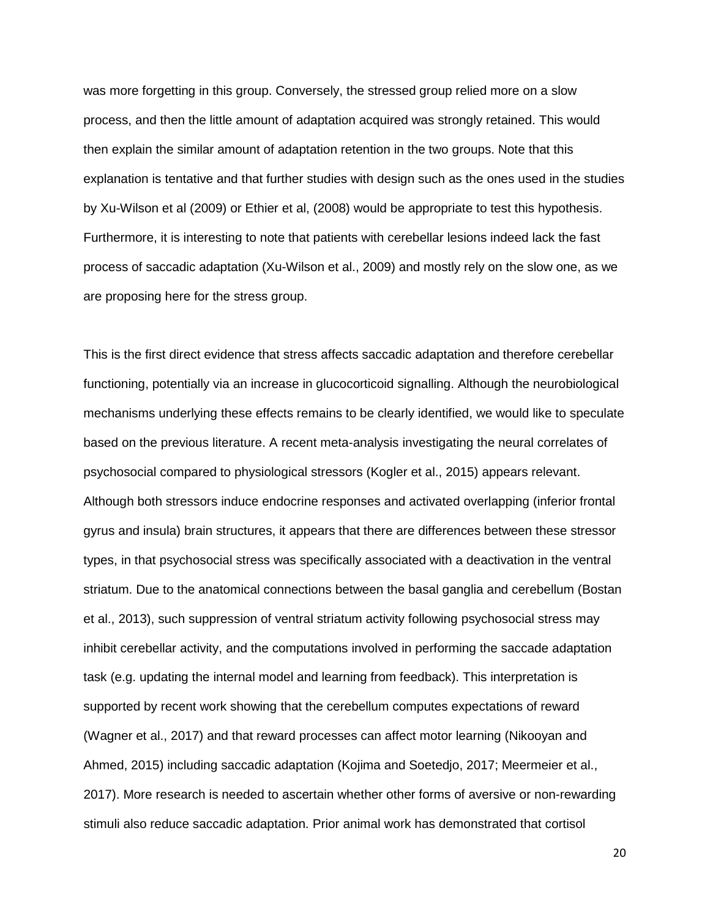was more forgetting in this group. Conversely, the stressed group relied more on a slow process, and then the little amount of adaptation acquired was strongly retained. This would then explain the similar amount of adaptation retention in the two groups. Note that this explanation is tentative and that further studies with design such as the ones used in the studies by Xu-Wilson et al (2009) or Ethier et al, (2008) would be appropriate to test this hypothesis. Furthermore, it is interesting to note that patients with cerebellar lesions indeed lack the fast process of saccadic adaptation (Xu-Wilson et al., 2009) and mostly rely on the slow one, as we are proposing here for the stress group.

This is the first direct evidence that stress affects saccadic adaptation and therefore cerebellar functioning, potentially via an increase in glucocorticoid signalling. Although the neurobiological mechanisms underlying these effects remains to be clearly identified, we would like to speculate based on the previous literature. A recent meta-analysis investigating the neural correlates of psychosocial compared to physiological stressors (Kogler et al., 2015) appears relevant. Although both stressors induce endocrine responses and activated overlapping (inferior frontal gyrus and insula) brain structures, it appears that there are differences between these stressor types, in that psychosocial stress was specifically associated with a deactivation in the ventral striatum. Due to the anatomical connections between the basal ganglia and cerebellum (Bostan et al., 2013), such suppression of ventral striatum activity following psychosocial stress may inhibit cerebellar activity, and the computations involved in performing the saccade adaptation task (e.g. updating the internal model and learning from feedback). This interpretation is supported by recent work showing that the cerebellum computes expectations of reward (Wagner et al., 2017) and that reward processes can affect motor learning (Nikooyan and Ahmed, 2015) including saccadic adaptation (Kojima and Soetedjo, 2017; Meermeier et al., 2017). More research is needed to ascertain whether other forms of aversive or non-rewarding stimuli also reduce saccadic adaptation. Prior animal work has demonstrated that cortisol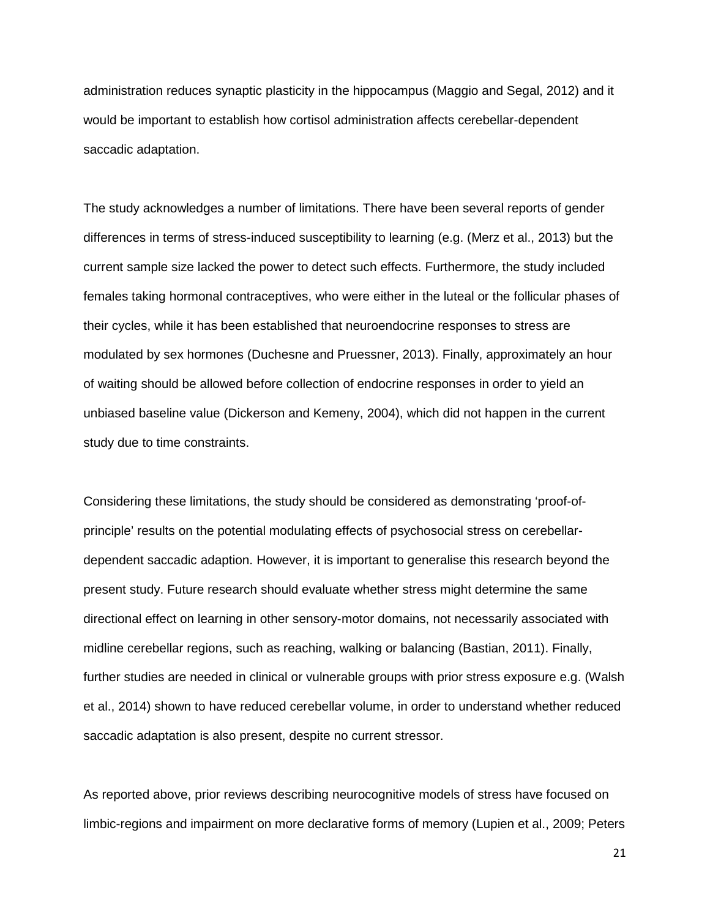administration reduces synaptic plasticity in the hippocampus (Maggio and Segal, 2012) and it would be important to establish how cortisol administration affects cerebellar-dependent saccadic adaptation.

The study acknowledges a number of limitations. There have been several reports of gender differences in terms of stress-induced susceptibility to learning (e.g. (Merz et al., 2013) but the current sample size lacked the power to detect such effects. Furthermore, the study included females taking hormonal contraceptives, who were either in the luteal or the follicular phases of their cycles, while it has been established that neuroendocrine responses to stress are modulated by sex hormones (Duchesne and Pruessner, 2013). Finally, approximately an hour of waiting should be allowed before collection of endocrine responses in order to yield an unbiased baseline value (Dickerson and Kemeny, 2004), which did not happen in the current study due to time constraints.

Considering these limitations, the study should be considered as demonstrating 'proof-ofprinciple' results on the potential modulating effects of psychosocial stress on cerebellardependent saccadic adaption. However, it is important to generalise this research beyond the present study. Future research should evaluate whether stress might determine the same directional effect on learning in other sensory-motor domains, not necessarily associated with midline cerebellar regions, such as reaching, walking or balancing (Bastian, 2011). Finally, further studies are needed in clinical or vulnerable groups with prior stress exposure e.g. (Walsh et al., 2014) shown to have reduced cerebellar volume, in order to understand whether reduced saccadic adaptation is also present, despite no current stressor.

As reported above, prior reviews describing neurocognitive models of stress have focused on limbic-regions and impairment on more declarative forms of memory (Lupien et al., 2009; Peters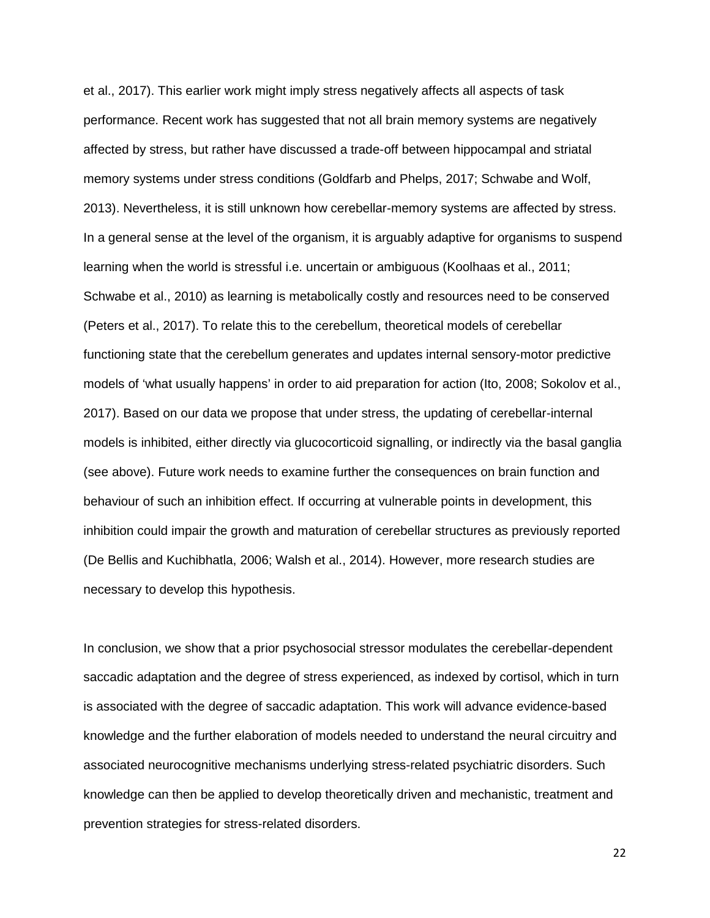et al., 2017). This earlier work might imply stress negatively affects all aspects of task performance. Recent work has suggested that not all brain memory systems are negatively affected by stress, but rather have discussed a trade-off between hippocampal and striatal memory systems under stress conditions (Goldfarb and Phelps, 2017; Schwabe and Wolf, 2013). Nevertheless, it is still unknown how cerebellar-memory systems are affected by stress. In a general sense at the level of the organism, it is arguably adaptive for organisms to suspend learning when the world is stressful i.e. uncertain or ambiguous (Koolhaas et al., 2011; Schwabe et al., 2010) as learning is metabolically costly and resources need to be conserved (Peters et al., 2017). To relate this to the cerebellum, theoretical models of cerebellar functioning state that the cerebellum generates and updates internal sensory-motor predictive models of 'what usually happens' in order to aid preparation for action (Ito, 2008; Sokolov et al., 2017). Based on our data we propose that under stress, the updating of cerebellar-internal models is inhibited, either directly via glucocorticoid signalling, or indirectly via the basal ganglia (see above). Future work needs to examine further the consequences on brain function and behaviour of such an inhibition effect. If occurring at vulnerable points in development, this inhibition could impair the growth and maturation of cerebellar structures as previously reported (De Bellis and Kuchibhatla, 2006; Walsh et al., 2014). However, more research studies are necessary to develop this hypothesis.

In conclusion, we show that a prior psychosocial stressor modulates the cerebellar-dependent saccadic adaptation and the degree of stress experienced, as indexed by cortisol, which in turn is associated with the degree of saccadic adaptation. This work will advance evidence-based knowledge and the further elaboration of models needed to understand the neural circuitry and associated neurocognitive mechanisms underlying stress-related psychiatric disorders. Such knowledge can then be applied to develop theoretically driven and mechanistic, treatment and prevention strategies for stress-related disorders.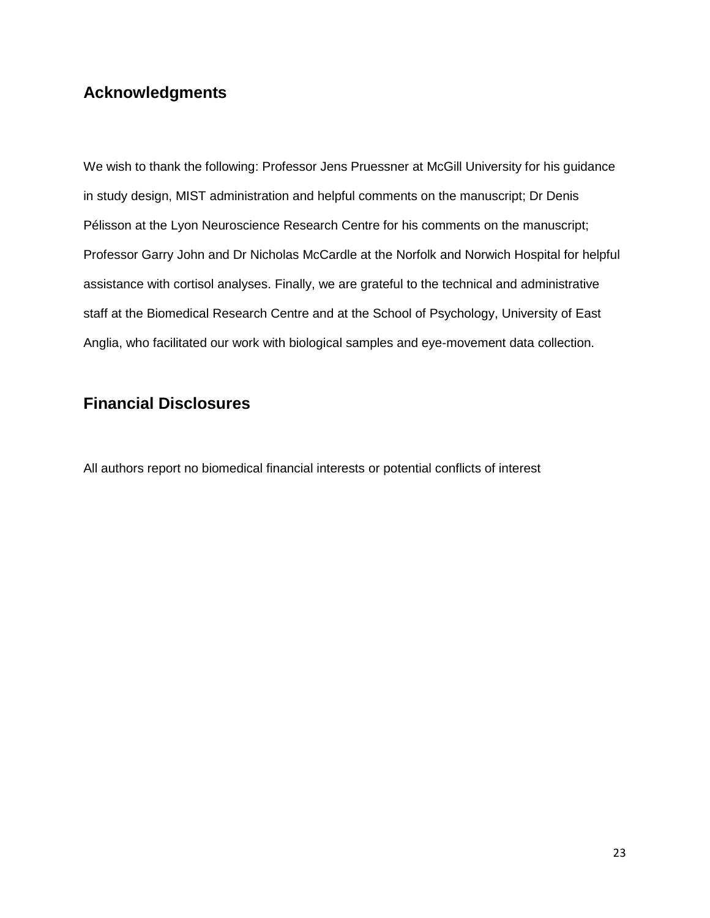# **Acknowledgments**

We wish to thank the following: Professor Jens Pruessner at McGill University for his guidance in study design, MIST administration and helpful comments on the manuscript; Dr Denis Pélisson at the Lyon Neuroscience Research Centre for his comments on the manuscript; Professor Garry John and Dr Nicholas McCardle at the Norfolk and Norwich Hospital for helpful assistance with cortisol analyses. Finally, we are grateful to the technical and administrative staff at the Biomedical Research Centre and at the School of Psychology, University of East Anglia, who facilitated our work with biological samples and eye-movement data collection.

# **Financial Disclosures**

All authors report no biomedical financial interests or potential conflicts of interest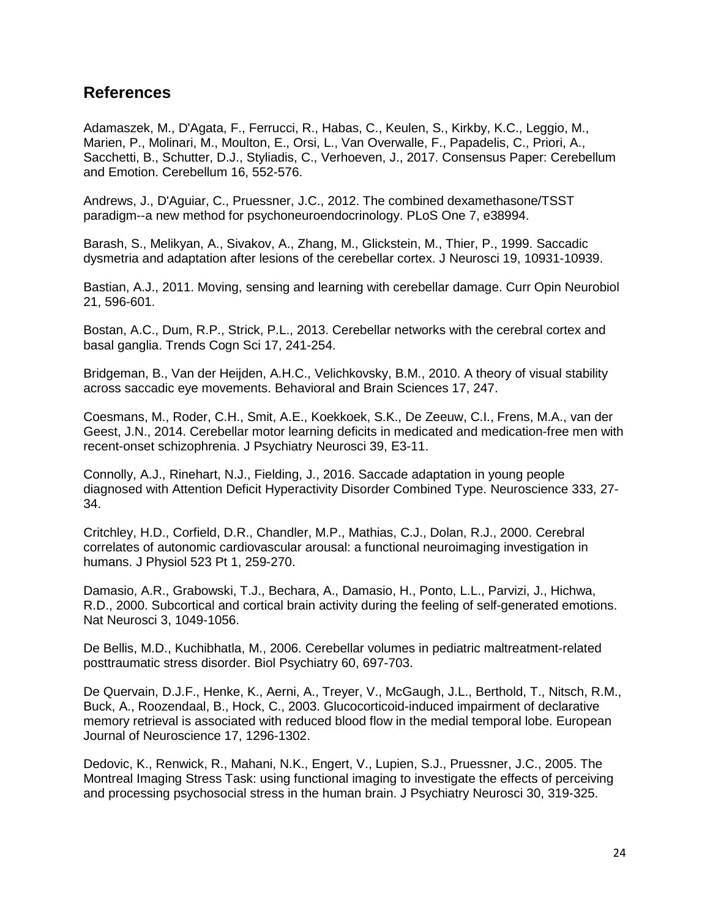## **References**

Adamaszek, M., D'Agata, F., Ferrucci, R., Habas, C., Keulen, S., Kirkby, K.C., Leggio, M., Marien, P., Molinari, M., Moulton, E., Orsi, L., Van Overwalle, F., Papadelis, C., Priori, A., Sacchetti, B., Schutter, D.J., Styliadis, C., Verhoeven, J., 2017. Consensus Paper: Cerebellum and Emotion. Cerebellum 16, 552-576.

Andrews, J., D'Aguiar, C., Pruessner, J.C., 2012. The combined dexamethasone/TSST paradigm--a new method for psychoneuroendocrinology. PLoS One 7, e38994.

Barash, S., Melikyan, A., Sivakov, A., Zhang, M., Glickstein, M., Thier, P., 1999. Saccadic dysmetria and adaptation after lesions of the cerebellar cortex. J Neurosci 19, 10931-10939.

Bastian, A.J., 2011. Moving, sensing and learning with cerebellar damage. Curr Opin Neurobiol 21, 596-601.

Bostan, A.C., Dum, R.P., Strick, P.L., 2013. Cerebellar networks with the cerebral cortex and basal ganglia. Trends Cogn Sci 17, 241-254.

Bridgeman, B., Van der Heijden, A.H.C., Velichkovsky, B.M., 2010. A theory of visual stability across saccadic eye movements. Behavioral and Brain Sciences 17, 247.

Coesmans, M., Roder, C.H., Smit, A.E., Koekkoek, S.K., De Zeeuw, C.I., Frens, M.A., van der Geest, J.N., 2014. Cerebellar motor learning deficits in medicated and medication-free men with recent-onset schizophrenia. J Psychiatry Neurosci 39, E3-11.

Connolly, A.J., Rinehart, N.J., Fielding, J., 2016. Saccade adaptation in young people diagnosed with Attention Deficit Hyperactivity Disorder Combined Type. Neuroscience 333, 27- 34.

Critchley, H.D., Corfield, D.R., Chandler, M.P., Mathias, C.J., Dolan, R.J., 2000. Cerebral correlates of autonomic cardiovascular arousal: a functional neuroimaging investigation in humans. J Physiol 523 Pt 1, 259-270.

Damasio, A.R., Grabowski, T.J., Bechara, A., Damasio, H., Ponto, L.L., Parvizi, J., Hichwa, R.D., 2000. Subcortical and cortical brain activity during the feeling of self-generated emotions. Nat Neurosci 3, 1049-1056.

De Bellis, M.D., Kuchibhatla, M., 2006. Cerebellar volumes in pediatric maltreatment-related posttraumatic stress disorder. Biol Psychiatry 60, 697-703.

De Quervain, D.J.F., Henke, K., Aerni, A., Treyer, V., McGaugh, J.L., Berthold, T., Nitsch, R.M., Buck, A., Roozendaal, B., Hock, C., 2003. Glucocorticoid-induced impairment of declarative memory retrieval is associated with reduced blood flow in the medial temporal lobe. European Journal of Neuroscience 17, 1296-1302.

Dedovic, K., Renwick, R., Mahani, N.K., Engert, V., Lupien, S.J., Pruessner, J.C., 2005. The Montreal Imaging Stress Task: using functional imaging to investigate the effects of perceiving and processing psychosocial stress in the human brain. J Psychiatry Neurosci 30, 319-325.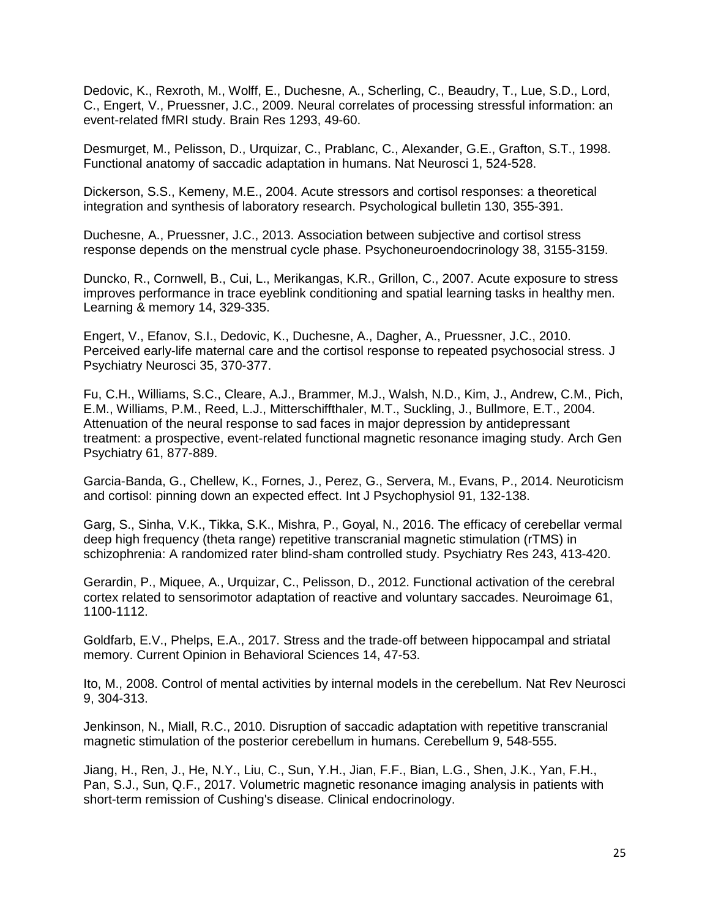Dedovic, K., Rexroth, M., Wolff, E., Duchesne, A., Scherling, C., Beaudry, T., Lue, S.D., Lord, C., Engert, V., Pruessner, J.C., 2009. Neural correlates of processing stressful information: an event-related fMRI study. Brain Res 1293, 49-60.

Desmurget, M., Pelisson, D., Urquizar, C., Prablanc, C., Alexander, G.E., Grafton, S.T., 1998. Functional anatomy of saccadic adaptation in humans. Nat Neurosci 1, 524-528.

Dickerson, S.S., Kemeny, M.E., 2004. Acute stressors and cortisol responses: a theoretical integration and synthesis of laboratory research. Psychological bulletin 130, 355-391.

Duchesne, A., Pruessner, J.C., 2013. Association between subjective and cortisol stress response depends on the menstrual cycle phase. Psychoneuroendocrinology 38, 3155-3159.

Duncko, R., Cornwell, B., Cui, L., Merikangas, K.R., Grillon, C., 2007. Acute exposure to stress improves performance in trace eyeblink conditioning and spatial learning tasks in healthy men. Learning & memory 14, 329-335.

Engert, V., Efanov, S.I., Dedovic, K., Duchesne, A., Dagher, A., Pruessner, J.C., 2010. Perceived early-life maternal care and the cortisol response to repeated psychosocial stress. J Psychiatry Neurosci 35, 370-377.

Fu, C.H., Williams, S.C., Cleare, A.J., Brammer, M.J., Walsh, N.D., Kim, J., Andrew, C.M., Pich, E.M., Williams, P.M., Reed, L.J., Mitterschiffthaler, M.T., Suckling, J., Bullmore, E.T., 2004. Attenuation of the neural response to sad faces in major depression by antidepressant treatment: a prospective, event-related functional magnetic resonance imaging study. Arch Gen Psychiatry 61, 877-889.

Garcia-Banda, G., Chellew, K., Fornes, J., Perez, G., Servera, M., Evans, P., 2014. Neuroticism and cortisol: pinning down an expected effect. Int J Psychophysiol 91, 132-138.

Garg, S., Sinha, V.K., Tikka, S.K., Mishra, P., Goyal, N., 2016. The efficacy of cerebellar vermal deep high frequency (theta range) repetitive transcranial magnetic stimulation (rTMS) in schizophrenia: A randomized rater blind-sham controlled study. Psychiatry Res 243, 413-420.

Gerardin, P., Miquee, A., Urquizar, C., Pelisson, D., 2012. Functional activation of the cerebral cortex related to sensorimotor adaptation of reactive and voluntary saccades. Neuroimage 61, 1100-1112.

Goldfarb, E.V., Phelps, E.A., 2017. Stress and the trade-off between hippocampal and striatal memory. Current Opinion in Behavioral Sciences 14, 47-53.

Ito, M., 2008. Control of mental activities by internal models in the cerebellum. Nat Rev Neurosci 9, 304-313.

Jenkinson, N., Miall, R.C., 2010. Disruption of saccadic adaptation with repetitive transcranial magnetic stimulation of the posterior cerebellum in humans. Cerebellum 9, 548-555.

Jiang, H., Ren, J., He, N.Y., Liu, C., Sun, Y.H., Jian, F.F., Bian, L.G., Shen, J.K., Yan, F.H., Pan, S.J., Sun, Q.F., 2017. Volumetric magnetic resonance imaging analysis in patients with short-term remission of Cushing's disease. Clinical endocrinology.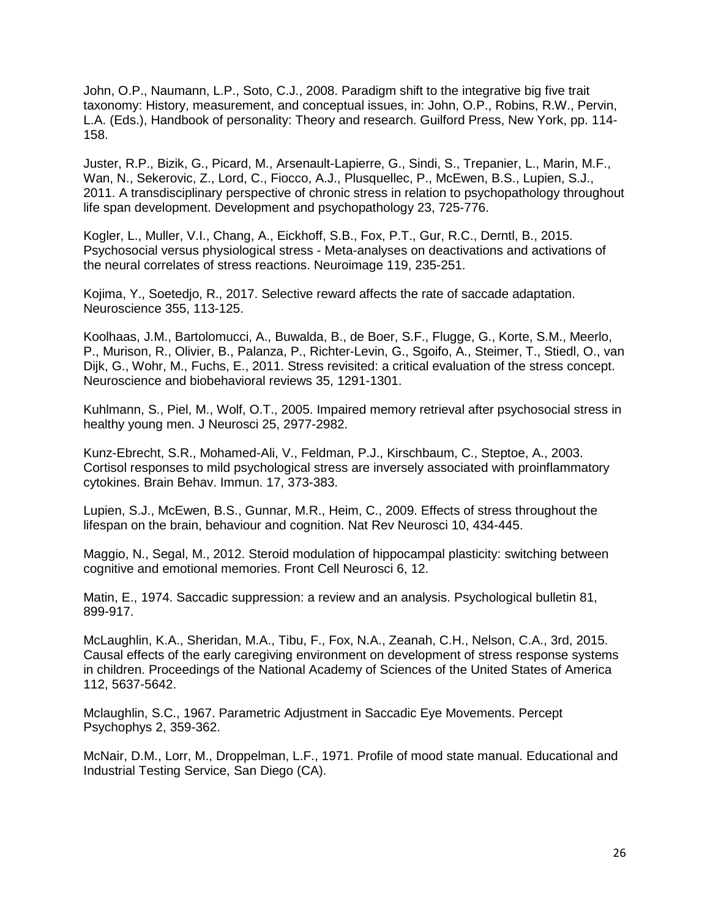John, O.P., Naumann, L.P., Soto, C.J., 2008. Paradigm shift to the integrative big five trait taxonomy: History, measurement, and conceptual issues, in: John, O.P., Robins, R.W., Pervin, L.A. (Eds.), Handbook of personality: Theory and research. Guilford Press, New York, pp. 114- 158.

Juster, R.P., Bizik, G., Picard, M., Arsenault-Lapierre, G., Sindi, S., Trepanier, L., Marin, M.F., Wan, N., Sekerovic, Z., Lord, C., Fiocco, A.J., Plusquellec, P., McEwen, B.S., Lupien, S.J., 2011. A transdisciplinary perspective of chronic stress in relation to psychopathology throughout life span development. Development and psychopathology 23, 725-776.

Kogler, L., Muller, V.I., Chang, A., Eickhoff, S.B., Fox, P.T., Gur, R.C., Derntl, B., 2015. Psychosocial versus physiological stress - Meta-analyses on deactivations and activations of the neural correlates of stress reactions. Neuroimage 119, 235-251.

Kojima, Y., Soetedjo, R., 2017. Selective reward affects the rate of saccade adaptation. Neuroscience 355, 113-125.

Koolhaas, J.M., Bartolomucci, A., Buwalda, B., de Boer, S.F., Flugge, G., Korte, S.M., Meerlo, P., Murison, R., Olivier, B., Palanza, P., Richter-Levin, G., Sgoifo, A., Steimer, T., Stiedl, O., van Dijk, G., Wohr, M., Fuchs, E., 2011. Stress revisited: a critical evaluation of the stress concept. Neuroscience and biobehavioral reviews 35, 1291-1301.

Kuhlmann, S., Piel, M., Wolf, O.T., 2005. Impaired memory retrieval after psychosocial stress in healthy young men. J Neurosci 25, 2977-2982.

Kunz-Ebrecht, S.R., Mohamed-Ali, V., Feldman, P.J., Kirschbaum, C., Steptoe, A., 2003. Cortisol responses to mild psychological stress are inversely associated with proinflammatory cytokines. Brain Behav. Immun. 17, 373-383.

Lupien, S.J., McEwen, B.S., Gunnar, M.R., Heim, C., 2009. Effects of stress throughout the lifespan on the brain, behaviour and cognition. Nat Rev Neurosci 10, 434-445.

Maggio, N., Segal, M., 2012. Steroid modulation of hippocampal plasticity: switching between cognitive and emotional memories. Front Cell Neurosci 6, 12.

Matin, E., 1974. Saccadic suppression: a review and an analysis. Psychological bulletin 81, 899-917.

McLaughlin, K.A., Sheridan, M.A., Tibu, F., Fox, N.A., Zeanah, C.H., Nelson, C.A., 3rd, 2015. Causal effects of the early caregiving environment on development of stress response systems in children. Proceedings of the National Academy of Sciences of the United States of America 112, 5637-5642.

Mclaughlin, S.C., 1967. Parametric Adjustment in Saccadic Eye Movements. Percept Psychophys 2, 359-362.

McNair, D.M., Lorr, M., Droppelman, L.F., 1971. Profile of mood state manual. Educational and Industrial Testing Service, San Diego (CA).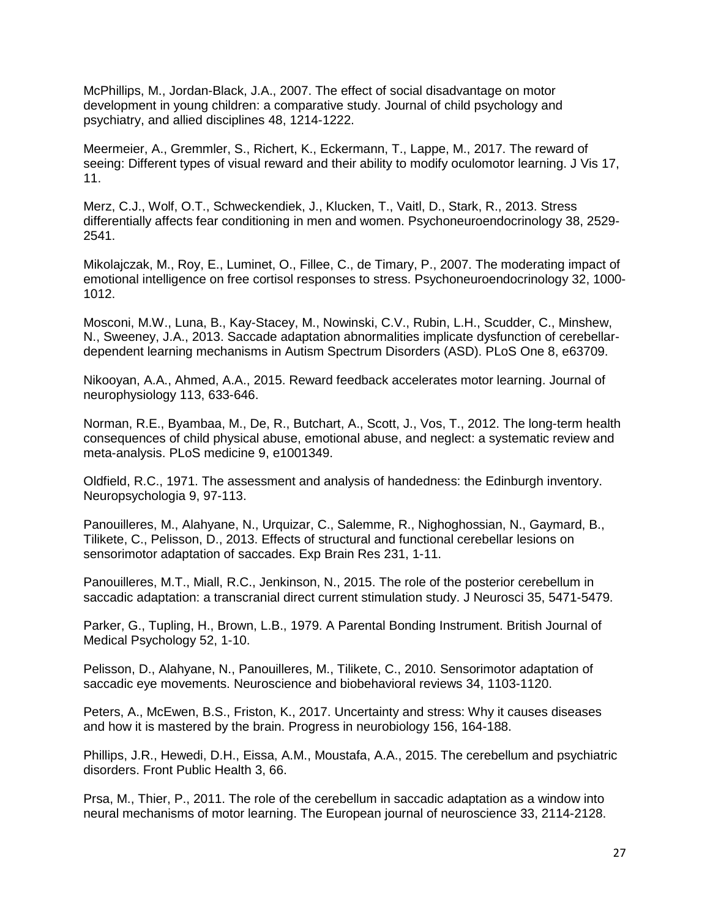McPhillips, M., Jordan-Black, J.A., 2007. The effect of social disadvantage on motor development in young children: a comparative study. Journal of child psychology and psychiatry, and allied disciplines 48, 1214-1222.

Meermeier, A., Gremmler, S., Richert, K., Eckermann, T., Lappe, M., 2017. The reward of seeing: Different types of visual reward and their ability to modify oculomotor learning. J Vis 17, 11.

Merz, C.J., Wolf, O.T., Schweckendiek, J., Klucken, T., Vaitl, D., Stark, R., 2013. Stress differentially affects fear conditioning in men and women. Psychoneuroendocrinology 38, 2529- 2541.

Mikolajczak, M., Roy, E., Luminet, O., Fillee, C., de Timary, P., 2007. The moderating impact of emotional intelligence on free cortisol responses to stress. Psychoneuroendocrinology 32, 1000- 1012.

Mosconi, M.W., Luna, B., Kay-Stacey, M., Nowinski, C.V., Rubin, L.H., Scudder, C., Minshew, N., Sweeney, J.A., 2013. Saccade adaptation abnormalities implicate dysfunction of cerebellardependent learning mechanisms in Autism Spectrum Disorders (ASD). PLoS One 8, e63709.

Nikooyan, A.A., Ahmed, A.A., 2015. Reward feedback accelerates motor learning. Journal of neurophysiology 113, 633-646.

Norman, R.E., Byambaa, M., De, R., Butchart, A., Scott, J., Vos, T., 2012. The long-term health consequences of child physical abuse, emotional abuse, and neglect: a systematic review and meta-analysis. PLoS medicine 9, e1001349.

Oldfield, R.C., 1971. The assessment and analysis of handedness: the Edinburgh inventory. Neuropsychologia 9, 97-113.

Panouilleres, M., Alahyane, N., Urquizar, C., Salemme, R., Nighoghossian, N., Gaymard, B., Tilikete, C., Pelisson, D., 2013. Effects of structural and functional cerebellar lesions on sensorimotor adaptation of saccades. Exp Brain Res 231, 1-11.

Panouilleres, M.T., Miall, R.C., Jenkinson, N., 2015. The role of the posterior cerebellum in saccadic adaptation: a transcranial direct current stimulation study. J Neurosci 35, 5471-5479.

Parker, G., Tupling, H., Brown, L.B., 1979. A Parental Bonding Instrument. British Journal of Medical Psychology 52, 1-10.

Pelisson, D., Alahyane, N., Panouilleres, M., Tilikete, C., 2010. Sensorimotor adaptation of saccadic eye movements. Neuroscience and biobehavioral reviews 34, 1103-1120.

Peters, A., McEwen, B.S., Friston, K., 2017. Uncertainty and stress: Why it causes diseases and how it is mastered by the brain. Progress in neurobiology 156, 164-188.

Phillips, J.R., Hewedi, D.H., Eissa, A.M., Moustafa, A.A., 2015. The cerebellum and psychiatric disorders. Front Public Health 3, 66.

Prsa, M., Thier, P., 2011. The role of the cerebellum in saccadic adaptation as a window into neural mechanisms of motor learning. The European journal of neuroscience 33, 2114-2128.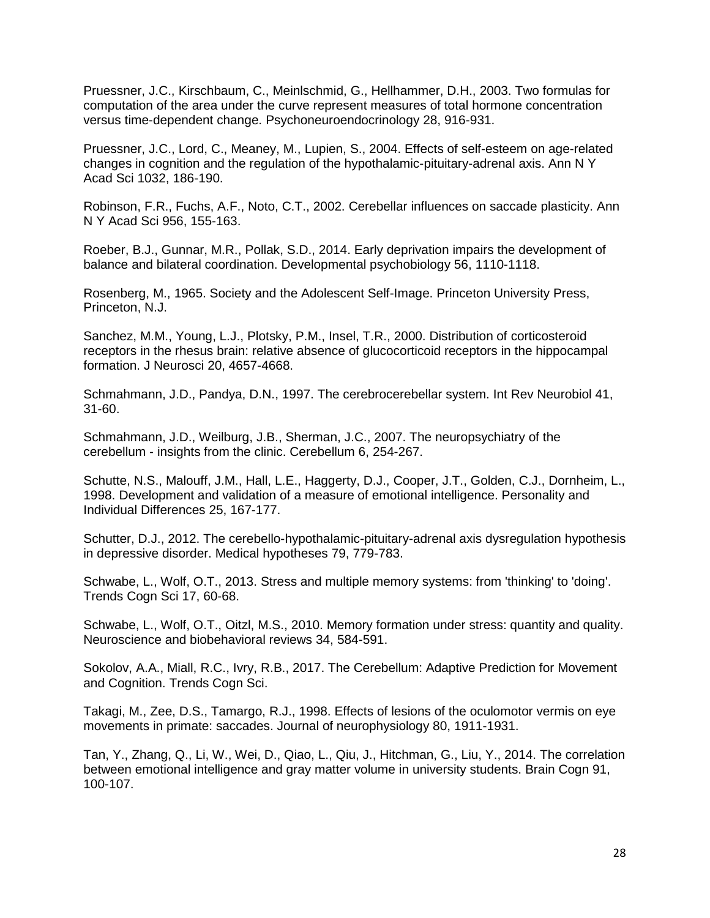Pruessner, J.C., Kirschbaum, C., Meinlschmid, G., Hellhammer, D.H., 2003. Two formulas for computation of the area under the curve represent measures of total hormone concentration versus time-dependent change. Psychoneuroendocrinology 28, 916-931.

Pruessner, J.C., Lord, C., Meaney, M., Lupien, S., 2004. Effects of self-esteem on age-related changes in cognition and the regulation of the hypothalamic-pituitary-adrenal axis. Ann N Y Acad Sci 1032, 186-190.

Robinson, F.R., Fuchs, A.F., Noto, C.T., 2002. Cerebellar influences on saccade plasticity. Ann N Y Acad Sci 956, 155-163.

Roeber, B.J., Gunnar, M.R., Pollak, S.D., 2014. Early deprivation impairs the development of balance and bilateral coordination. Developmental psychobiology 56, 1110-1118.

Rosenberg, M., 1965. Society and the Adolescent Self-Image. Princeton University Press, Princeton, N.J.

Sanchez, M.M., Young, L.J., Plotsky, P.M., Insel, T.R., 2000. Distribution of corticosteroid receptors in the rhesus brain: relative absence of glucocorticoid receptors in the hippocampal formation. J Neurosci 20, 4657-4668.

Schmahmann, J.D., Pandya, D.N., 1997. The cerebrocerebellar system. Int Rev Neurobiol 41, 31-60.

Schmahmann, J.D., Weilburg, J.B., Sherman, J.C., 2007. The neuropsychiatry of the cerebellum - insights from the clinic. Cerebellum 6, 254-267.

Schutte, N.S., Malouff, J.M., Hall, L.E., Haggerty, D.J., Cooper, J.T., Golden, C.J., Dornheim, L., 1998. Development and validation of a measure of emotional intelligence. Personality and Individual Differences 25, 167-177.

Schutter, D.J., 2012. The cerebello-hypothalamic-pituitary-adrenal axis dysregulation hypothesis in depressive disorder. Medical hypotheses 79, 779-783.

Schwabe, L., Wolf, O.T., 2013. Stress and multiple memory systems: from 'thinking' to 'doing'. Trends Cogn Sci 17, 60-68.

Schwabe, L., Wolf, O.T., Oitzl, M.S., 2010. Memory formation under stress: quantity and quality. Neuroscience and biobehavioral reviews 34, 584-591.

Sokolov, A.A., Miall, R.C., Ivry, R.B., 2017. The Cerebellum: Adaptive Prediction for Movement and Cognition. Trends Cogn Sci.

Takagi, M., Zee, D.S., Tamargo, R.J., 1998. Effects of lesions of the oculomotor vermis on eye movements in primate: saccades. Journal of neurophysiology 80, 1911-1931.

Tan, Y., Zhang, Q., Li, W., Wei, D., Qiao, L., Qiu, J., Hitchman, G., Liu, Y., 2014. The correlation between emotional intelligence and gray matter volume in university students. Brain Cogn 91, 100-107.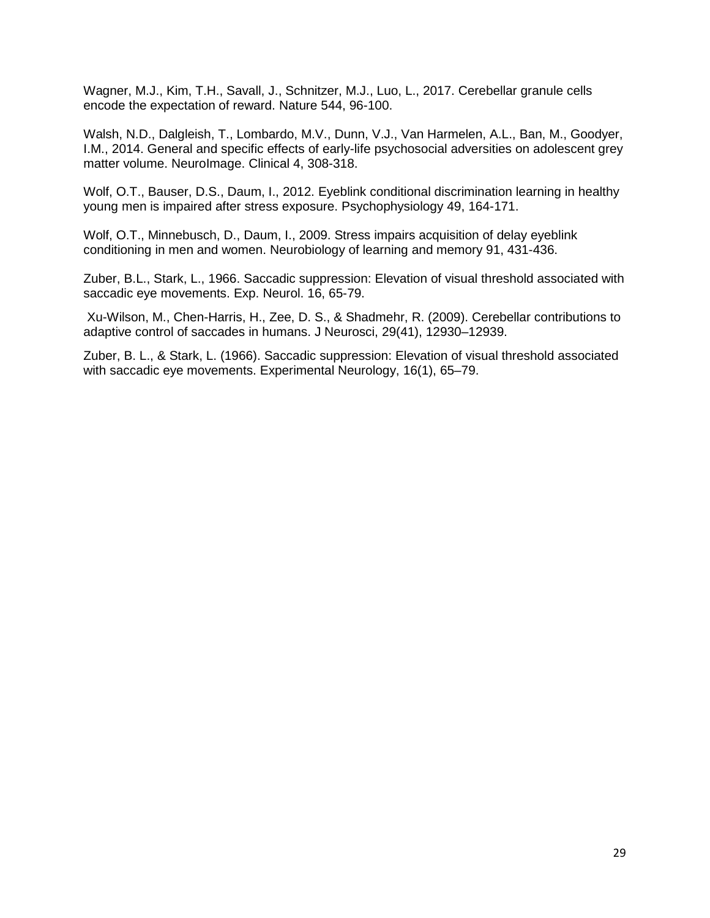Wagner, M.J., Kim, T.H., Savall, J., Schnitzer, M.J., Luo, L., 2017. Cerebellar granule cells encode the expectation of reward. Nature 544, 96-100.

Walsh, N.D., Dalgleish, T., Lombardo, M.V., Dunn, V.J., Van Harmelen, A.L., Ban, M., Goodyer, I.M., 2014. General and specific effects of early-life psychosocial adversities on adolescent grey matter volume. NeuroImage. Clinical 4, 308-318.

Wolf, O.T., Bauser, D.S., Daum, I., 2012. Eyeblink conditional discrimination learning in healthy young men is impaired after stress exposure. Psychophysiology 49, 164-171.

Wolf, O.T., Minnebusch, D., Daum, I., 2009. Stress impairs acquisition of delay eyeblink conditioning in men and women. Neurobiology of learning and memory 91, 431-436.

Zuber, B.L., Stark, L., 1966. Saccadic suppression: Elevation of visual threshold associated with saccadic eye movements. Exp. Neurol. 16, 65-79.

Xu-Wilson, M., Chen-Harris, H., Zee, D. S., & Shadmehr, R. (2009). Cerebellar contributions to adaptive control of saccades in humans. J Neurosci, 29(41), 12930–12939.

Zuber, B. L., & Stark, L. (1966). Saccadic suppression: Elevation of visual threshold associated with saccadic eye movements. Experimental Neurology, 16(1), 65–79.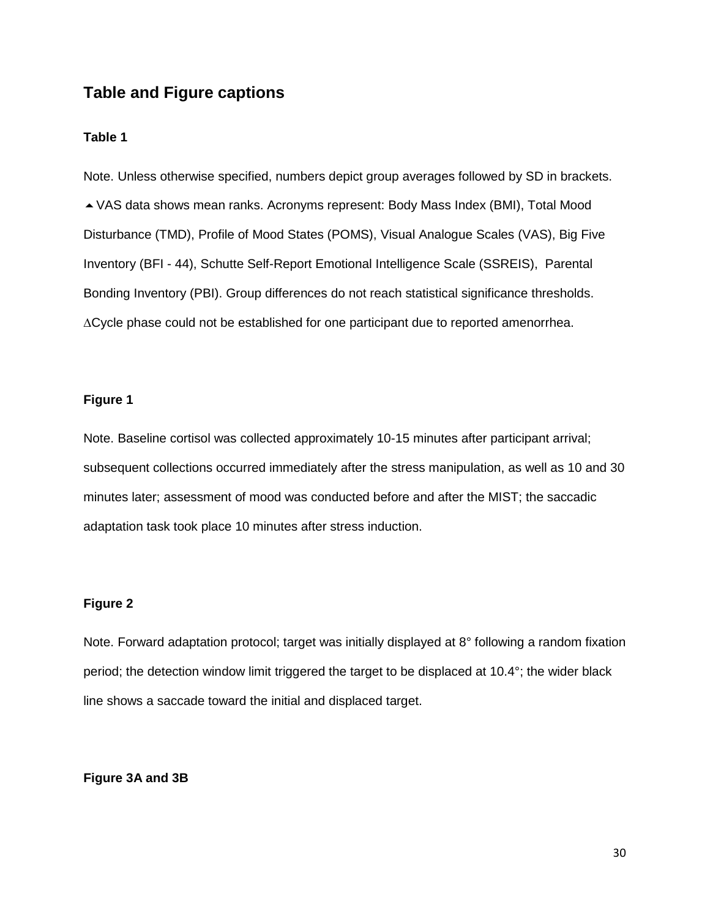# **Table and Figure captions**

### **Table 1**

Note. Unless otherwise specified, numbers depict group averages followed by SD in brackets. VAS data shows mean ranks. Acronyms represent: Body Mass Index (BMI), Total Mood Disturbance (TMD), Profile of Mood States (POMS), Visual Analogue Scales (VAS), Big Five Inventory (BFI - 44), Schutte Self-Report Emotional Intelligence Scale (SSREIS), Parental Bonding Inventory (PBI). Group differences do not reach statistical significance thresholds. ∆Cycle phase could not be established for one participant due to reported amenorrhea.

### **Figure 1**

Note. Baseline cortisol was collected approximately 10-15 minutes after participant arrival; subsequent collections occurred immediately after the stress manipulation, as well as 10 and 30 minutes later; assessment of mood was conducted before and after the MIST; the saccadic adaptation task took place 10 minutes after stress induction.

### **Figure 2**

Note. Forward adaptation protocol; target was initially displayed at 8° following a random fixation period; the detection window limit triggered the target to be displaced at 10.4°; the wider black line shows a saccade toward the initial and displaced target.

### **Figure 3A and 3B**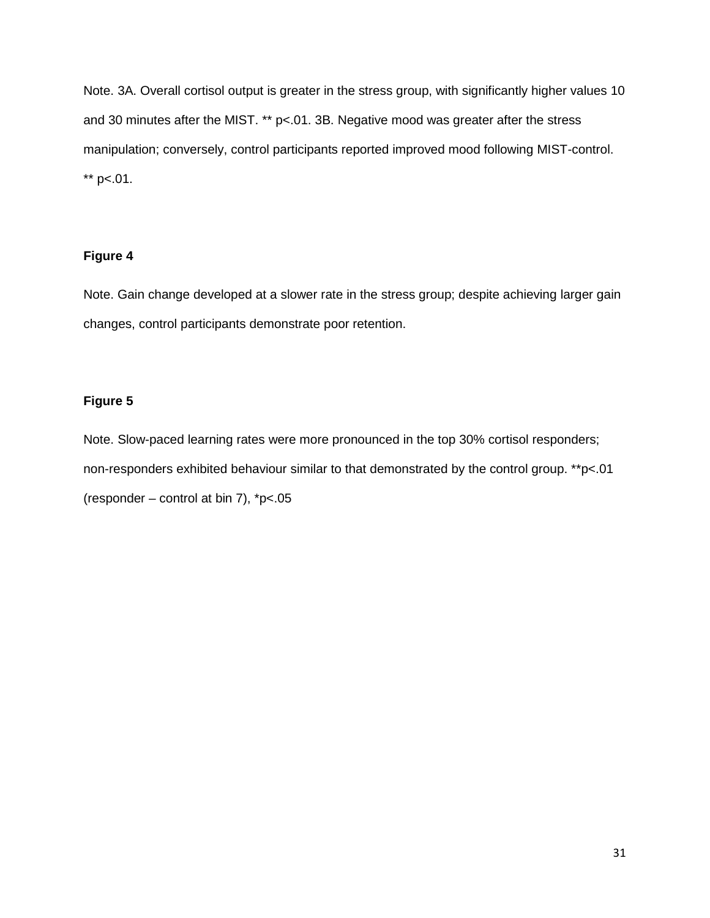Note. 3A. Overall cortisol output is greater in the stress group, with significantly higher values 10 and 30 minutes after the MIST. \*\*  $p$ <.01. 3B. Negative mood was greater after the stress manipulation; conversely, control participants reported improved mood following MIST-control. \*\*  $p<.01$ .

## **Figure 4**

Note. Gain change developed at a slower rate in the stress group; despite achieving larger gain changes, control participants demonstrate poor retention.

## **Figure 5**

Note. Slow-paced learning rates were more pronounced in the top 30% cortisol responders; non-responders exhibited behaviour similar to that demonstrated by the control group. \*\*p<.01 (responder – control at bin 7),  $p<05$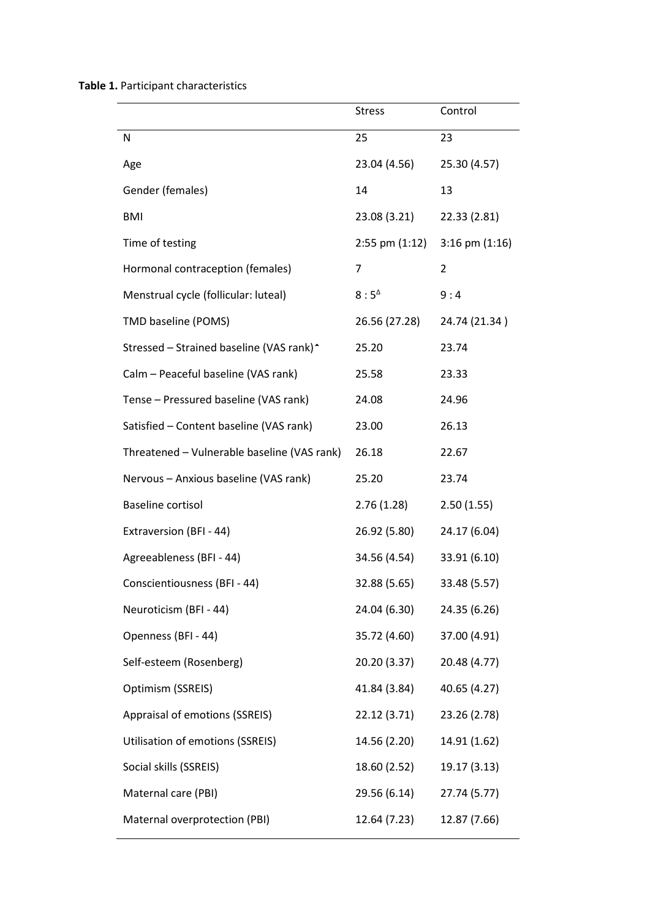**Table 1.** Participant characteristics

|                                                      | <b>Stress</b>      | Control            |
|------------------------------------------------------|--------------------|--------------------|
| N                                                    | 25                 | 23                 |
| Age                                                  | 23.04 (4.56)       | 25.30 (4.57)       |
| Gender (females)                                     | 14                 | 13                 |
| <b>BMI</b>                                           | 23.08 (3.21)       | 22.33 (2.81)       |
| Time of testing                                      | $2:55$ pm $(1:12)$ | $3:16$ pm $(1:16)$ |
| Hormonal contraception (females)                     | 7                  | 2                  |
| Menstrual cycle (follicular: luteal)                 | $8:5^{\Delta}$     | 9:4                |
| TMD baseline (POMS)                                  | 26.56 (27.28)      | 24.74 (21.34)      |
| Stressed - Strained baseline (VAS rank) <sup>*</sup> | 25.20              | 23.74              |
| Calm - Peaceful baseline (VAS rank)                  | 25.58              | 23.33              |
| Tense - Pressured baseline (VAS rank)                | 24.08              | 24.96              |
| Satisfied - Content baseline (VAS rank)              | 23.00              | 26.13              |
| Threatened - Vulnerable baseline (VAS rank)          | 26.18              | 22.67              |
| Nervous - Anxious baseline (VAS rank)                | 25.20              | 23.74              |
| <b>Baseline cortisol</b>                             | 2.76(1.28)         | 2.50(1.55)         |
| Extraversion (BFI - 44)                              | 26.92 (5.80)       | 24.17 (6.04)       |
| Agreeableness (BFI - 44)                             | 34.56 (4.54)       | 33.91 (6.10)       |
| Conscientiousness (BFI - 44)                         | 32.88 (5.65)       | 33.48 (5.57)       |
| Neuroticism (BFI - 44)                               | 24.04 (6.30)       | 24.35 (6.26)       |
| Openness (BFI - 44)                                  | 35.72 (4.60)       | 37.00 (4.91)       |
| Self-esteem (Rosenberg)                              | 20.20 (3.37)       | 20.48 (4.77)       |
| Optimism (SSREIS)                                    | 41.84 (3.84)       | 40.65 (4.27)       |
| Appraisal of emotions (SSREIS)                       | 22.12(3.71)        | 23.26 (2.78)       |
| <b>Utilisation of emotions (SSREIS)</b>              | 14.56 (2.20)       | 14.91 (1.62)       |
| Social skills (SSREIS)                               | 18.60 (2.52)       | 19.17 (3.13)       |
| Maternal care (PBI)                                  | 29.56 (6.14)       | 27.74 (5.77)       |
| Maternal overprotection (PBI)                        | 12.64 (7.23)       | 12.87 (7.66)       |
|                                                      |                    |                    |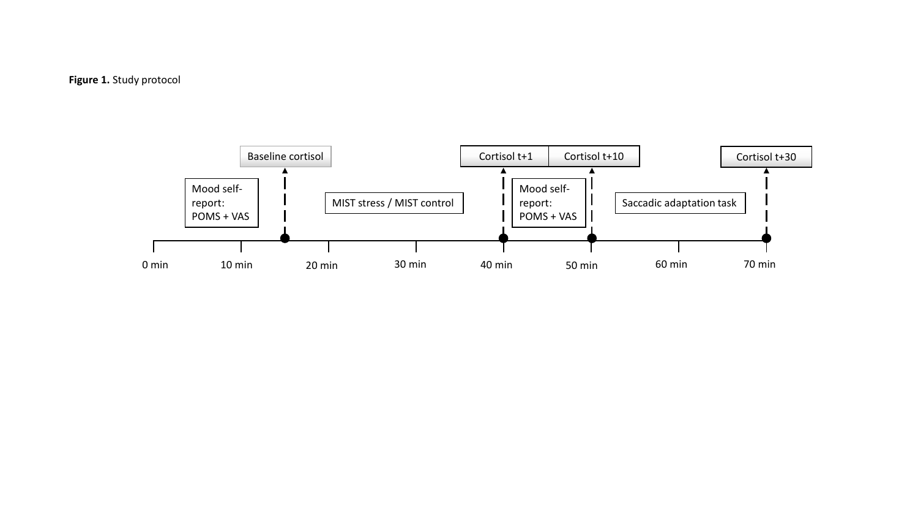

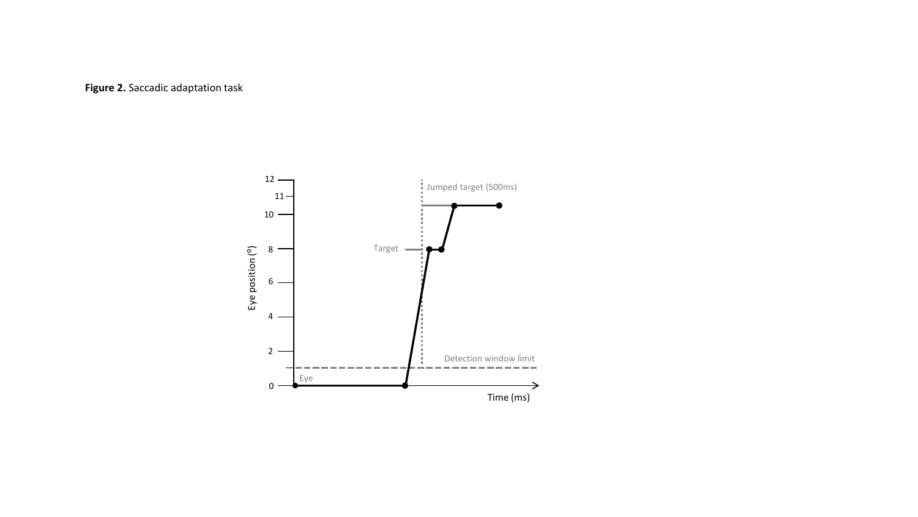## **Figure 2.** Saccadic adaptation task

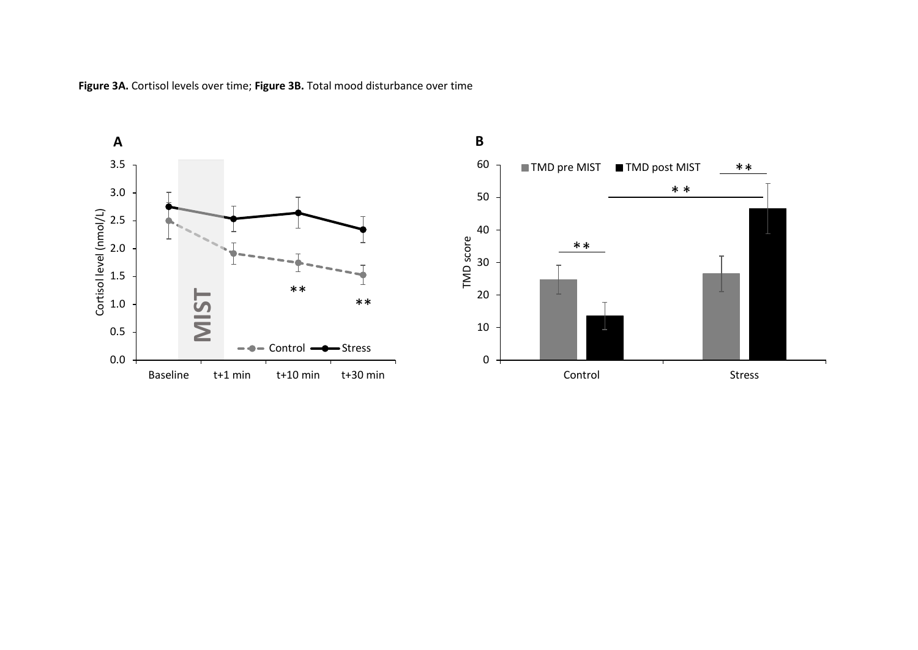

**Figure 3A.** Cortisol levels over time; **Figure 3B.** Total mood disturbance over time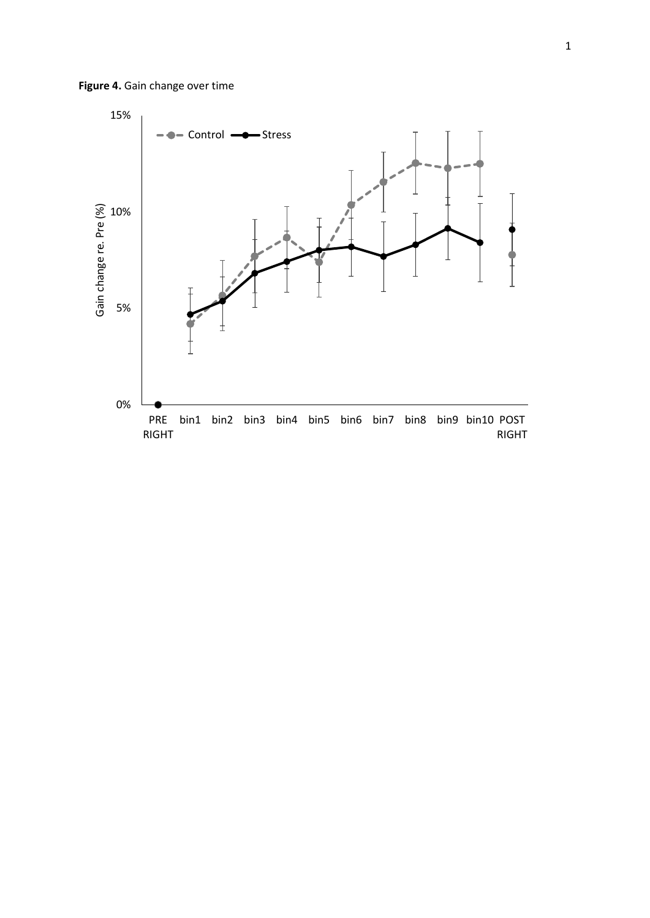

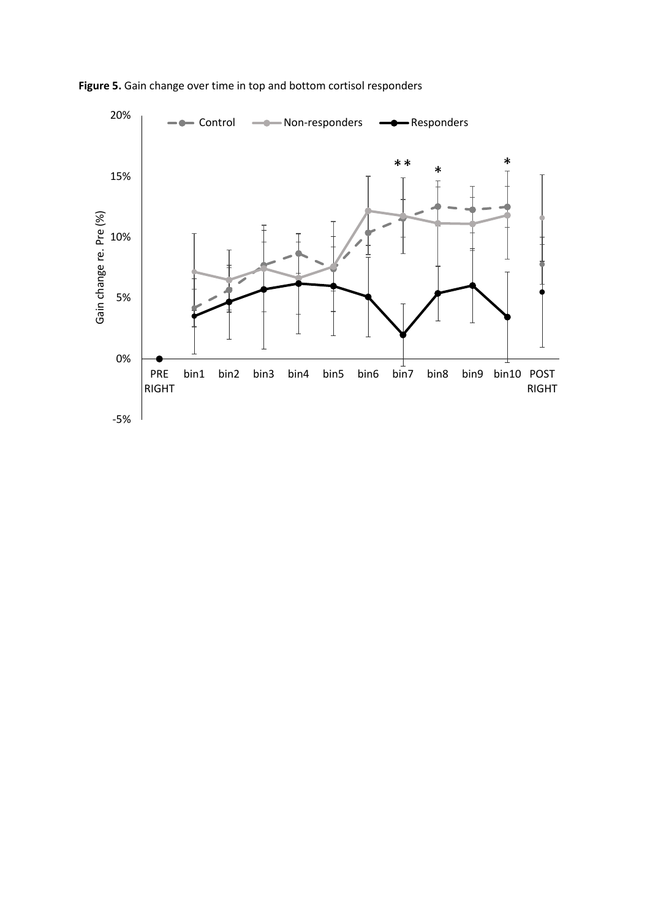

**Figure 5.** Gain change over time in top and bottom cortisol responders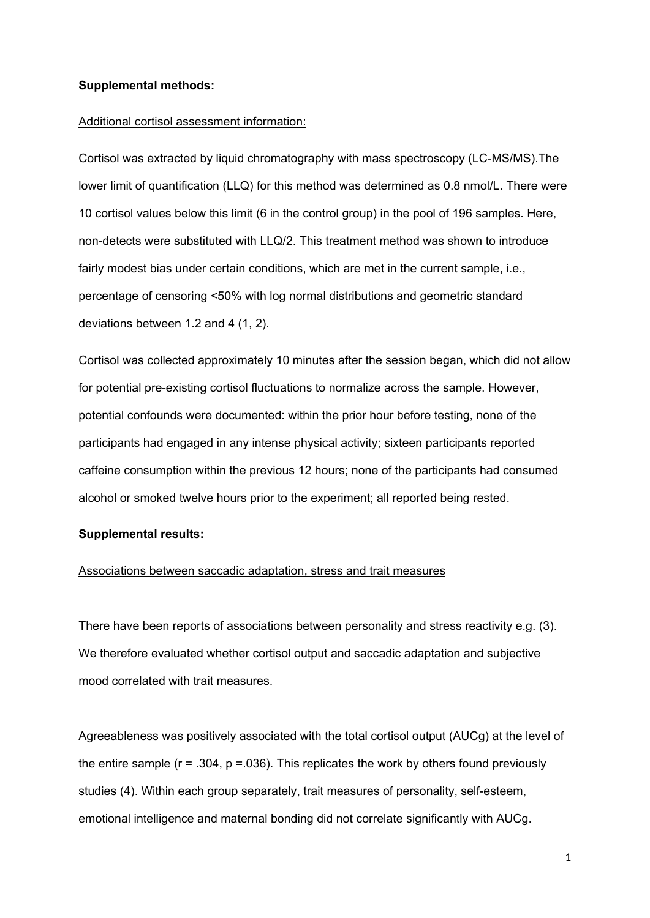#### **Supplemental methods:**

#### Additional cortisol assessment information:

Cortisol was extracted by liquid chromatography with mass spectroscopy (LC-MS/MS).The lower limit of quantification (LLQ) for this method was determined as 0.8 nmol/L. There were 10 cortisol values below this limit (6 in the control group) in the pool of 196 samples. Here, non-detects were substituted with LLQ/2. This treatment method was shown to introduce fairly modest bias under certain conditions, which are met in the current sample, i.e., percentage of censoring <50% with log normal distributions and geometric standard deviations between 1.2 and 4 (1, 2).

Cortisol was collected approximately 10 minutes after the session began, which did not allow for potential pre-existing cortisol fluctuations to normalize across the sample. However, potential confounds were documented: within the prior hour before testing, none of the participants had engaged in any intense physical activity; sixteen participants reported caffeine consumption within the previous 12 hours; none of the participants had consumed alcohol or smoked twelve hours prior to the experiment; all reported being rested.

### **Supplemental results:**

### Associations between saccadic adaptation, stress and trait measures

There have been reports of associations between personality and stress reactivity e.g. (3). We therefore evaluated whether cortisol output and saccadic adaptation and subjective mood correlated with trait measures.

Agreeableness was positively associated with the total cortisol output (AUCg) at the level of the entire sample ( $r = .304$ ,  $p = .036$ ). This replicates the work by others found previously studies (4). Within each group separately, trait measures of personality, self-esteem, emotional intelligence and maternal bonding did not correlate significantly with AUCg.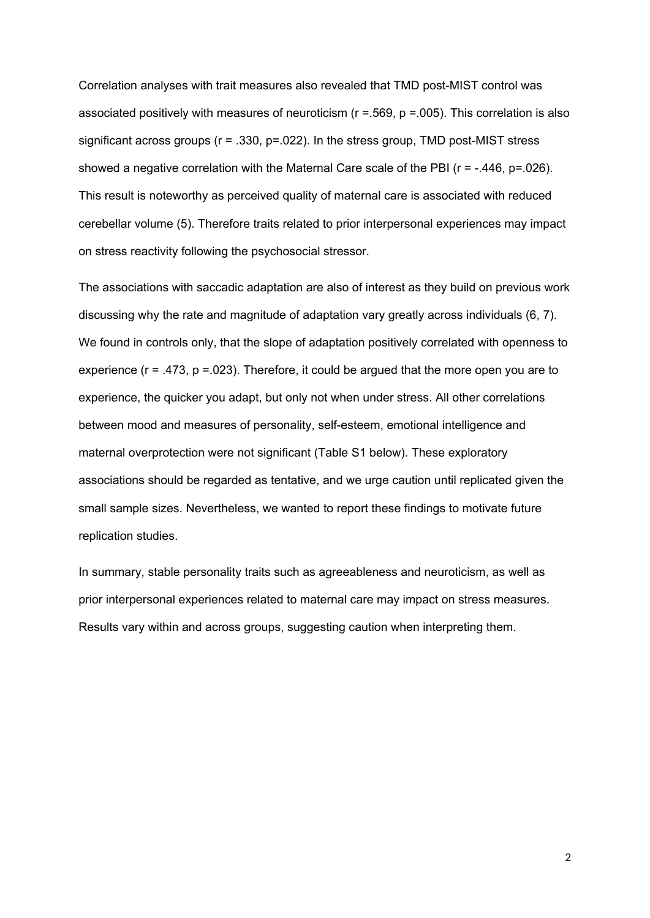Correlation analyses with trait measures also revealed that TMD post-MIST control was associated positively with measures of neuroticism ( $r = .569$ ,  $p = .005$ ). This correlation is also significant across groups ( $r = .330$ ,  $p = .022$ ). In the stress group, TMD post-MIST stress showed a negative correlation with the Maternal Care scale of the PBI ( $r = -0.446$ ,  $p = 0.026$ ). This result is noteworthy as perceived quality of maternal care is associated with reduced cerebellar volume (5). Therefore traits related to prior interpersonal experiences may impact on stress reactivity following the psychosocial stressor.

The associations with saccadic adaptation are also of interest as they build on previous work discussing why the rate and magnitude of adaptation vary greatly across individuals (6, 7). We found in controls only, that the slope of adaptation positively correlated with openness to experience  $(r = .473, p = .023)$ . Therefore, it could be argued that the more open you are to experience, the quicker you adapt, but only not when under stress. All other correlations between mood and measures of personality, self-esteem, emotional intelligence and maternal overprotection were not significant (Table S1 below). These exploratory associations should be regarded as tentative, and we urge caution until replicated given the small sample sizes. Nevertheless, we wanted to report these findings to motivate future replication studies.

In summary, stable personality traits such as agreeableness and neuroticism, as well as prior interpersonal experiences related to maternal care may impact on stress measures. Results vary within and across groups, suggesting caution when interpreting them.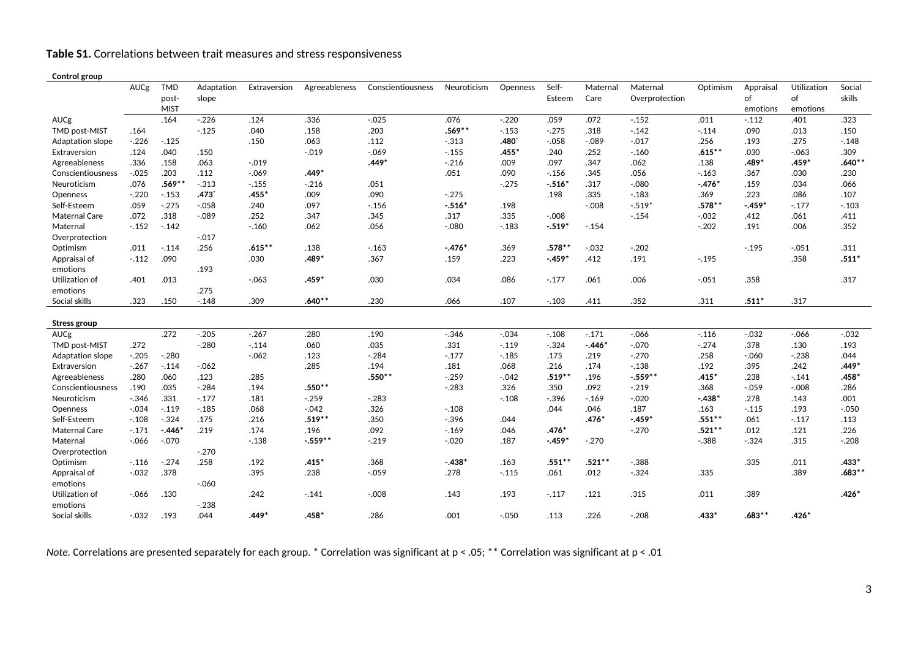**Table S1.** Correlations between trait measures and stress responsiveness

#### **Control group**

| conu or group           |          |                                    |                     |              |               |                   |             |          |                 |                  |                            |           |                             |                               |                  |
|-------------------------|----------|------------------------------------|---------------------|--------------|---------------|-------------------|-------------|----------|-----------------|------------------|----------------------------|-----------|-----------------------------|-------------------------------|------------------|
|                         | AUCg     | <b>TMD</b><br>post-<br><b>MIST</b> | Adaptation<br>slope | Extraversion | Agreeableness | Conscientiousness | Neuroticism | Openness | Self-<br>Esteem | Maternal<br>Care | Maternal<br>Overprotection | Optimism  | Appraisal<br>of<br>emotions | Utilization<br>of<br>emotions | Social<br>skills |
| AUCg                    |          | .164                               | $-.226$             | .124         | .336          | $-.025$           | .076        | $-.220$  | .059            | .072             | $-.152$                    | .011      | $-.112$                     | .401                          | .323             |
| <b>TMD post-MIST</b>    | .164     |                                    | $-0.125$            | .040         | .158          | .203              | $.569**$    | $-.153$  | $-.275$         | .318             | $-.142$                    | $-.114$   | .090                        | .013                          | .150             |
| <b>Adaptation slope</b> | $-.226$  | $-.125$                            |                     | .150         | .063          | .112              | $-.313$     | .480     | $-0.058$        | $-.089$          | $-.017$                    | .256      | .193                        | .275                          | $-.148$          |
| Extraversion            | .124     | .040                               | .150                |              | $-.019$       | $-0.069$          | $-.155$     | $.455*$  | .240            | .252             | $-0.160$                   | $.615***$ | .030                        | $-0.063$                      | .309             |
| Agreeableness           | .336     | .158                               | .063                | $-.019$      |               | $.449*$           | $-.216$     | .009     | .097            | .347             | .062                       | .138      | .489*                       | $.459*$                       | $.640**$         |
| Conscientiousness       | $-0.025$ | .203                               | .112                | $-0.069$     | $.449*$       |                   | .051        | .090     | $-0.156$        | .345             | .056                       | $-163$    | .367                        | .030                          | .230             |
| Neuroticism             | .076     | $.569**$                           | $-.313$             | $-.155$      | $-.216$       | .051              |             | $-.275$  | $-.516*$        | .317             | $-.080$                    | $-476*$   | .159                        | .034                          | .066             |
| Openness                | $-.220$  | $-.153$                            | $.473*$             | .455*        | .009          | .090              | $-.275$     |          | .198            | .335             | $-.183$                    | .369      | .223                        | .086                          | .107             |
| Self-Esteem             | .059     | $-.275$                            | $-.058$             | .240         | .097          | $-.156$           | $-.516*$    | .198     |                 | $-0.008$         | $-.519*$                   | $.578**$  | $-0.459*$                   | $-.177$                       | $-.103$          |
| <b>Maternal Care</b>    | .072     | .318                               | $-0.089$            | .252         | .347          | .345              | .317        | .335     | $-.008$         |                  | $-.154$                    | $-.032$   | .412                        | .061                          | .411             |
| Maternal                | $-.152$  | $-.142$                            |                     | $-0.160$     | .062          | .056              | $-.080$     | $-0.183$ | $-.519*$        | $-154$           |                            | $-.202$   | .191                        | .006                          | .352             |
| Overprotection          |          |                                    | $-0.017$            |              |               |                   |             |          |                 |                  |                            |           |                             |                               |                  |
| Optimism                | .011     | $-.114$                            | .256                | $.615***$    | .138          | $-.163$           | $-.476*$    | .369     | $.578***$       | $-.032$          | $-.202$                    |           | $-0.195$                    | $-.051$                       | .311             |
| Appraisal of            | $-.112$  | .090                               |                     | .030         | $.489*$       | .367              | .159        | .223     | $-.459*$        | .412             | .191                       | $-.195$   |                             | .358                          | $.511*$          |
| emotions                |          |                                    | .193                |              |               |                   |             |          |                 |                  |                            |           |                             |                               |                  |
| Utilization of          | .401     | .013                               |                     | $-.063$      | $.459*$       | .030              | .034        | .086     | $-.177$         | .061             | .006                       | $-.051$   | .358                        |                               | .317             |
| emotions                |          |                                    | .275                |              |               |                   |             |          |                 |                  |                            |           |                             |                               |                  |
| Social skills           | .323     | .150                               | $-.148$             | .309         | $.640**$      | .230              | .066        | .107     | $-.103$         | .411             | .352                       | .311      | $.511*$                     | .317                          |                  |
|                         |          |                                    |                     |              |               |                   |             |          |                 |                  |                            |           |                             |                               |                  |
| Stress group            |          |                                    |                     |              |               |                   |             |          |                 |                  |                            |           |                             |                               |                  |
| <b>AUCg</b>             |          | .272                               | $-.205$             | $-.267$      | .280          | .190              | $-.346$     | $-.034$  | $-.108$         | $-.171$          | $-0.066$                   | $-.116$   | $-0.032$                    | $-0.066$                      | $-.032$          |
| <b>TMD post-MIST</b>    | .272     |                                    | $-.280$             | $-.114$      | .060          | .035              | .331        | $-.119$  | $-.324$         | $-.446*$         | $-.070$                    | $-.274$   | .378                        | .130                          | .193             |
| <b>Adaptation slope</b> | $-.205$  | $-.280$                            |                     | $-.062$      | .123          | $-.284$           | $-.177$     | $-.185$  | .175            | .219             | $-.270$                    | .258      | $-.060$                     | $-.238$                       | .044             |
| Extraversion            | $-.267$  | $-.114$                            | $-.062$             |              | .285          | .194              | .181        | .068     | .216            | .174             | $-.138$                    | .192      | .395                        | .242                          | $.449*$          |
| Agreeableness           | .280     | .060                               | .123                | .285         |               | $.550**$          | $-.259$     | $-.042$  | $.519***$       | .196             | $-.559**$                  | $.415*$   | .238                        | $-.141$                       | $.458*$          |
| Conscientiousness       | .190     | .035                               | $-.284$             | .194         | $.550**$      |                   | $-.283$     | .326     | .350            | .092             | $-.219$                    | .368      | $-.059$                     | $-.008$                       | .286             |
| Neuroticism             | $-.346$  | .331                               | $-.177$             | .181         | $-.259$       | $-.283$           |             | $-.108$  | $-.396$         | $-0.169$         | $-.020$                    | $-438*$   | .278                        | .143                          | .001             |
| Openness                | $-.034$  | $-.119$                            | $-185$              | .068         | $-0.042$      | .326              | $-.108$     |          | .044            | .046             | .187                       | .163      | $-.115$                     | .193                          | $-.050$          |
| Self-Esteem             | $-.108$  | $-.324$                            | .175                | .216         | $.519**$      | .350              | $-.396$     | .044     |                 | $.476*$          | $-.459*$                   | $.551***$ | .061                        | $-.117$                       | .113             |
| <b>Maternal Care</b>    | $-.171$  | $-.446*$                           | .219                | .174         | .196          | .092              | $-0.169$    | .046     | $.476*$         |                  | $-.270$                    | $.521***$ | .012                        | .121                          | .226             |
| Maternal                | $-.066$  | $-.070$                            |                     | $-.138$      | $-.559**$     | $-.219$           | $-.020$     | .187     | $-.459*$        | $-.270$          |                            | $-.388$   | $-.324$                     | .315                          | $-.208$          |
| Overprotection          |          |                                    | $-.270$             |              |               |                   |             |          |                 |                  |                            |           |                             |                               |                  |
| Optimism                | $-.116$  | $-.274$                            | .258                | .192         | $.415*$       | .368              | $-.438*$    | .163     | $.551***$       | $.521***$        | $-.388$                    |           | .335                        | .011                          | $.433*$          |
| Appraisal of            | $-.032$  | .378                               |                     | .395         | .238          | $-0.059$          | .278        | $-.115$  | .061            | .012             | $-.324$                    | .335      |                             | .389                          | $.683***$        |
| emotions                |          |                                    | $-060$              |              |               |                   |             |          |                 |                  |                            |           |                             |                               |                  |
| Utilization of          | $-0.066$ | .130                               |                     | .242         | $-.141$       | $-.008$           | .143        | .193     | $-.117$         | .121             | .315                       | .011      | .389                        |                               | $.426*$          |
| emotions                |          |                                    | $-.238$             |              |               |                   |             |          |                 |                  |                            |           |                             |                               |                  |
| Social skills           | $-0.032$ | .193                               | .044                | .449*        | .458*         | .286              | .001        | $-.050$  | .113            | .226             | $-.208$                    | $.433*$   | $.683***$                   | $.426*$                       |                  |

*Note.* Correlations are presented separately for each group. \* Correlation was significant at p < .05; \*\* Correlation was significant at p < .01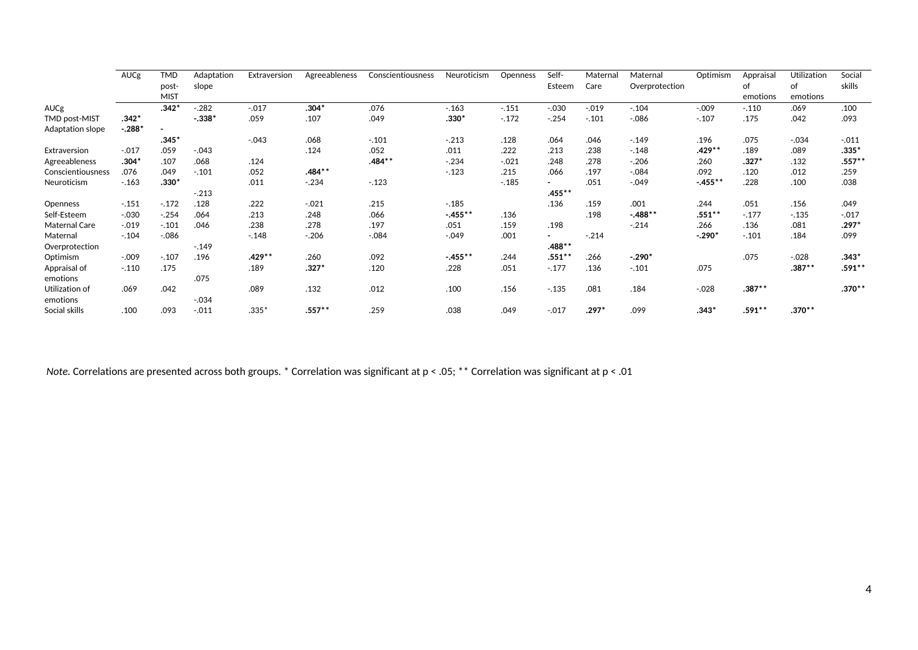|                      | AUCg     | TMD         | Adaptation | Extraversion | Agreeableness | Conscientiousness | Neuroticism | Openness | Self-     | Materna | Maternal       | Optimism   | Appraisal | Utilization | Social   |
|----------------------|----------|-------------|------------|--------------|---------------|-------------------|-------------|----------|-----------|---------|----------------|------------|-----------|-------------|----------|
|                      |          | post-       | slope      |              |               |                   |             |          | Esteem    | Care    | Overprotection |            | of        | of          | skills   |
|                      |          | <b>MIST</b> |            |              |               |                   |             |          |           |         |                |            | emotions  | emotions    |          |
| <b>AUCg</b>          |          | $.342*$     | $-.282$    | $-.017$      | $.304*$       | .076              | $-163$      | $-.151$  | $-.030$   | $-.019$ | $-.104$        | $-.009$    | $-.110$   | .069        | .100     |
| <b>TMD post-MIST</b> | $.342*$  |             | $-.338*$   | .059         | .107          | .049              | $.330*$     | $-.172$  | $-.254$   | $-.101$ | $-0.086$       | $-.107$    | .175      | .042        | .093     |
| Adaptation slope     | $-.288*$ |             |            |              |               |                   |             |          |           |         |                |            |           |             |          |
|                      |          | $.345*$     |            | $-.043$      | .068          | $-.101$           | $-.213$     | .128     | .064      | .046    | $-.149$        | .196       | .075      | $-.034$     | $-.011$  |
| Extraversion         | $-.017$  | .059        | $-.043$    |              | .124          | .052              | .011        | .222     | .213      | .238    | $-.148$        | .429**     | .189      | .089        | $.335*$  |
| Agreeableness        | $.304*$  | .107        | .068       | .124         |               | $.484***$         | $-.234$     | $-0.021$ | .248      | .278    | $-.206$        | .260       | $.327*$   | .132        | $.557**$ |
| Conscientiousness    | .076     | .049        | $-.101$    | .052         | .484**        |                   | $-.123$     | .215     | .066      | .197    | $-.084$        | .092       | .120      | .012        | .259     |
| Neuroticism          | $-.163$  | $.330*$     |            | .011         | $-.234$       | $-.123$           |             | $-.185$  |           | .051    | $-.049$        | $-0.455**$ | .228      | .100        | .038     |
|                      |          |             | $-.213$    |              |               |                   |             |          | $.455***$ |         |                |            |           |             |          |
| Openness             | $-.151$  | $-.172$     | .128       | .222         | $-.021$       | .215              | $-.185$     |          | .136      | .159    | .001           | .244       | .051      | .156        | .049     |
| Self-Esteem          | $-.030$  | $-.254$     | .064       | .213         | .248          | .066              | $-0.455**$  | .136     |           | .198    | $-.488**$      | $.551***$  | $-.177$   | $-.135$     | $-.017$  |
| Maternal Care        | $-0.019$ | $-.101$     | .046       | .238         | .278          | .197              | .051        | .159     | .198      |         | $-.214$        | .266       | .136      | .081        | $.297*$  |
| Maternal             | $-.104$  | $-0.086$    |            | $-.148$      | $-.206$       | $-.084$           | $-0.049$    | .001     |           | $-.214$ |                | $-.290*$   | $-.101$   | .184        | .099     |
| Overprotection       |          |             | $-.149$    |              |               |                   |             |          | $.488**$  |         |                |            |           |             |          |
| Optimism             | $-.009$  | $-.107$     | .196       | .429 **      | .260          | .092              | $-455***$   | .244     | $.551***$ | .266    | $-.290*$       |            | .075      | $-.028$     | $.343*$  |
| Appraisal of         | $-.110$  | .175        |            | .189         | $.327*$       | .120              | .228        | .051     | $-.177$   | .136    | $-.101$        | .075       |           | $.387**$    | $.591**$ |
| emotions             |          |             | .075       |              |               |                   |             |          |           |         |                |            |           |             |          |
| Utilization of       | .069     | .042        |            | .089         | .132          | .012              | .100        | .156     | $-.135$   | .081    | .184           | $-.028$    | $.387***$ |             | $.370**$ |
| emotions             |          |             | $-.034$    |              |               |                   |             |          |           |         |                |            |           |             |          |
| Social skills        | .100     | .093        | $-.011$    | $.335*$      | .557**        | .259              | .038        | .049     | $-0.017$  | $.297*$ | .099           | $.343*$    | $.591***$ | $.370***$   |          |

*Note.* Correlations are presented across both groups. \* Correlation was significant at p < .05; \*\* Correlation was significant at p < .01